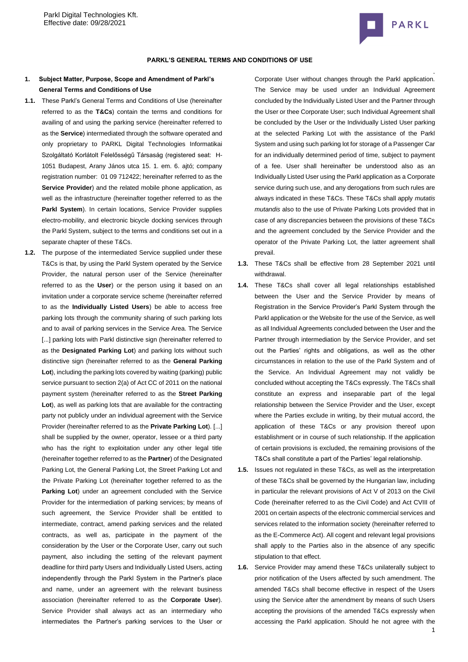

#### **PARKL'S GENERAL TERMS AND CONDITIONS OF USE**

# **1. Subject Matter, Purpose, Scope and Amendment of Parkl's General Terms and Conditions of Use**

- **1.1.** These Parkl's General Terms and Conditions of Use (hereinafter referred to as the **T&Cs**) contain the terms and conditions for availing of and using the parking service (hereinafter referred to as the **Service**) intermediated through the software operated and only proprietary to PARKL Digital Technologies Informatikai Szolgáltató Korlátolt Felelősségű Társaság (registered seat: [H-](http://maps.google.com/maps?q=HU%201051%20Budapest%20Arany%20J%C3%A1nos%20utca%2015.%201.%20em.%206&hl=hu&ie=UTF8)[1051 Budapest, Arany János utca 15. 1. em. 6.](http://maps.google.com/maps?q=HU%201051%20Budapest%20Arany%20J%C3%A1nos%20utca%2015.%201.%20em.%206&hl=hu&ie=UTF8) ajtó; company registration number: 01 09 712422; hereinafter referred to as the **Service Provider**) and the related mobile phone application, as well as the infrastructure (hereinafter together referred to as the Parkl System). In certain locations, Service Provider supplies electro-mobility, and electronic bicycle docking services through the Parkl System, subject to the terms and conditions set out in a separate chapter of these T&Cs.
- **1.2.** The purpose of the intermediated Service supplied under these T&Cs is that, by using the Parkl System operated by the Service Provider, the natural person user of the Service (hereinafter referred to as the **User**) or the person using it based on an invitation under a corporate service scheme (hereinafter referred to as the **Individually Listed Users**) be able to access free parking lots through the community sharing of such parking lots and to avail of parking services in the Service Area. The Service [...] parking lots with Parkl distinctive sign (hereinafter referred to as the **Designated Parking Lot**) and parking lots without such distinctive sign (hereinafter referred to as the **General Parking Lot**), including the parking lots covered by waiting (parking) public service pursuant to section 2(a) of Act CC of 2011 on the national payment system (hereinafter referred to as the **Street Parking Lot**), as well as parking lots that are available for the contracting party not publicly under an individual agreement with the Service Provider (hereinafter referred to as the **Private Parking Lot**). [...] shall be supplied by the owner, operator, lessee or a third party who has the right to exploitation under any other legal title (hereinafter together referred to as the **Partner**) of the Designated Parking Lot, the General Parking Lot, the Street Parking Lot and the Private Parking Lot (hereinafter together referred to as the **Parking Lot**) under an agreement concluded with the Service Provider for the intermediation of parking services; by means of such agreement, the Service Provider shall be entitled to intermediate, contract, amend parking services and the related contracts, as well as, participate in the payment of the consideration by the User or the Corporate User, carry out such payment, also including the setting of the relevant payment deadline for third party Users and Individually Listed Users, acting independently through the Parkl System in the Partner's place and name, under an agreement with the relevant business association (hereinafter referred to as the **Corporate User**). Service Provider shall always act as an intermediary who intermediates the Partner's parking services to the User or

Corporate User without changes through the Parkl application. The Service may be used under an Individual Agreement concluded by the Individually Listed User and the Partner through the User or thee Corporate User; such Individual Agreement shall be concluded by the User or the Individually Listed User parking at the selected Parking Lot with the assistance of the Parkl System and using such parking lot for storage of a Passenger Car for an individually determined period of time, subject to payment of a fee. User shall hereinafter be understood also as an Individually Listed User using the Parkl application as a Corporate service during such use, and any derogations from such rules are always indicated in these T&Cs. These T&Cs shall apply *mutatis mutandis* also to the use of Private Parking Lots provided that in case of any discrepancies between the provisions of these T&Cs and the agreement concluded by the Service Provider and the operator of the Private Parking Lot, the latter agreement shall prevail.

- **1.3.** These T&Cs shall be effective from 28 September 2021 until withdrawal.
- **1.4.** These T&Cs shall cover all legal relationships established between the User and the Service Provider by means of Registration in the Service Provider's Parkl System through the Parkl application or the Website for the use of the Service, as well as all Individual Agreements concluded between the User and the Partner through intermediation by the Service Provider, and set out the Parties' rights and obligations, as well as the other circumstances in relation to the use of the Parkl System and of the Service. An Individual Agreement may not validly be concluded without accepting the T&Cs expressly. The T&Cs shall constitute an express and inseparable part of the legal relationship between the Service Provider and the User, except where the Parties exclude in writing, by their mutual accord, the application of these T&Cs or any provision thereof upon establishment or in course of such relationship. If the application of certain provisions is excluded, the remaining provisions of the T&Cs shall constitute a part of the Parties' legal relationship.
- **1.5.** Issues not regulated in these T&Cs, as well as the interpretation of these T&Cs shall be governed by the Hungarian law, including in particular the relevant provisions of Act V of 2013 on the Civil Code (hereinafter referred to as the Civil Code) and Act CVIII of 2001 on certain aspects of the electronic commercial services and services related to the information society (hereinafter referred to as the E-Commerce Act). All cogent and relevant legal provisions shall apply to the Parties also in the absence of any specific stipulation to that effect.
- **1.6.** Service Provider may amend these T&Cs unilaterally subject to prior notification of the Users affected by such amendment. The amended T&Cs shall become effective in respect of the Users using the Service after the amendment by means of such Users accepting the provisions of the amended T&Cs expressly when accessing the Parkl application. Should he not agree with the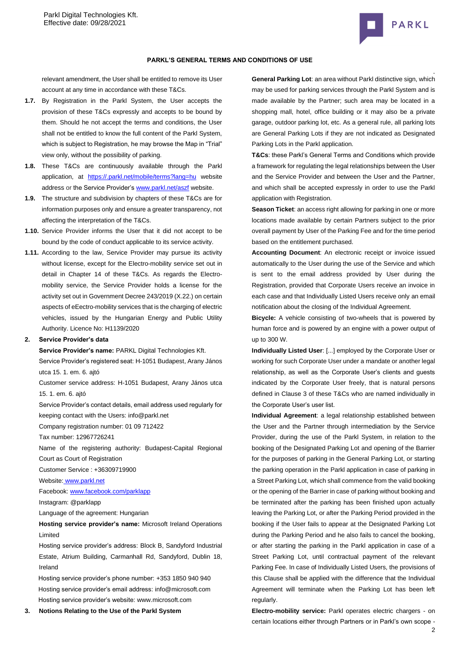

#### **PARKL'S GENERAL TERMS AND CONDITIONS OF USE**

relevant amendment, the User shall be entitled to remove its User account at any time in accordance with these T&Cs.

- **1.7.** By Registration in the Parkl System, the User accepts the provision of these T&Cs expressly and accepts to be bound by them. Should he not accept the terms and conditions, the User shall not be entitled to know the full content of the Parkl System, which is subject to Registration, he may browse the Map in "Trial" view only, without the possibility of parking.
- **1.8.** These T&Cs are continuously available through the Parkl application, at [https://.parkl.net/mobile/terms?lang=hu](https://parkl.net/mobile/terms?lang=hu) website address or the Service Provider'[s www.parkl.net/aszf](http://www.parkl.net/aszf) website.
- **1.9.** The structure and subdivision by chapters of these T&Cs are for information purposes only and ensure a greater transparency, not affecting the interpretation of the T&Cs.
- **1.10.** Service Provider informs the User that it did not accept to be bound by the code of conduct applicable to its service activity.
- **1.11.** According to the law, Service Provider may pursue its activity without license, except for the Electro-mobility service set out in detail in Chapter 14 of these T&Cs. As regards the Electromobility service, the Service Provider holds a license for the activity set out in Government Decree 243/2019 (X.22.) on certain aspects of eEectro-mobility services that is the charging of electric vehicles, issued by the Hungarian Energy and Public Utility Authority. Licence No: H1139/2020

#### **2. Service Provider's data**

**Service Provider's name:** PARKL Digital Technologies Kft.

Service Provider's registered seat[: H-1051 Budapest, Arany János](http://maps.google.com/maps?q=HU%201051%20Budapest%20Arany%20J%C3%A1nos%20utca%2015.%201.%20em.%206&hl=hu&ie=UTF8)  [utca 15. 1. em. 6.](http://maps.google.com/maps?q=HU%201051%20Budapest%20Arany%20J%C3%A1nos%20utca%2015.%201.%20em.%206&hl=hu&ie=UTF8) ajtó

Customer service address: [H-1051 Budapest, Arany János utca](http://maps.google.com/maps?q=HU%201051%20Budapest%20Arany%20J%C3%A1nos%20utca%2015.%201.%20em.%206&hl=hu&ie=UTF8)  [15. 1. em. 6.](http://maps.google.com/maps?q=HU%201051%20Budapest%20Arany%20J%C3%A1nos%20utca%2015.%201.%20em.%206&hl=hu&ie=UTF8) ajtó

Service Provider's contact details, email address used regularly for keeping contact with the Users: info@parkl.net

Company registration number: 01 09 712422

Tax number: 12967726241

Name of the registering authority: Budapest-Capital Regional Court as Court of Registration

Customer Service : +36309719900

Website: [www.parkl.net](http://www.parkl.net/)

Facebook: [www.facebook.com/parklapp](http://www.facebook.com/parklapp)

Instagram: @parklapp

Language of the agreement: Hungarian

**Hosting service provider's name:** Microsoft Ireland Operations Limited

Hosting service provider's address: Block B, Sandyford Industrial Estate, Atrium Building, Carmanhall Rd, Sandyford, Dublin 18, Ireland

Hosting service provider's phone number[: +353 1850 940](tel:+353%201850%20940%20940) 940 Hosting service provider's email address: [info@microsoft.com](mailto:info@microsoft.com) Hosting service provider's website[: www.microsoft.com](http://www.microsoft.com/)

**3. Notions Relating to the Use of the Parkl System**

**General Parking Lot**: an area without Parkl distinctive sign, which may be used for parking services through the Parkl System and is made available by the Partner; such area may be located in a shopping mall, hotel, office building or it may also be a private garage, outdoor parking lot, etc. As a general rule, all parking lots are General Parking Lots if they are not indicated as Designated Parking Lots in the Parkl application.

**T&Cs**: these Parkl's General Terms and Conditions which provide a framework for regulating the legal relationships between the User and the Service Provider and between the User and the Partner, and which shall be accepted expressly in order to use the Parkl application with Registration.

**Season Ticket**: an access right allowing for parking in one or more locations made available by certain Partners subject to the prior overall payment by User of the Parking Fee and for the time period based on the entitlement purchased.

**Accounting Document**: An electronic receipt or invoice issued automatically to the User during the use of the Service and which is sent to the email address provided by User during the Registration, provided that Corporate Users receive an invoice in each case and that Individually Listed Users receive only an email notification about the closing of the Individual Agreement.

**Bicycle:** A vehicle consisting of two-wheels that is powered by human force and is powered by an engine with a power output of up to 300 W.

**Individually Listed User**: [...] employed by the Corporate User or working for such Corporate User under a mandate or another legal relationship, as well as the Corporate User's clients and guests indicated by the Corporate User freely, that is natural persons defined in Clause 3 of these T&Cs who are named individually in the Corporate User's user list.

**Individual Agreement**: a legal relationship established between the User and the Partner through intermediation by the Service Provider, during the use of the Parkl System, in relation to the booking of the Designated Parking Lot and opening of the Barrier for the purposes of parking in the General Parking Lot, or starting the parking operation in the Parkl application in case of parking in a Street Parking Lot, which shall commence from the valid booking or the opening of the Barrier in case of parking without booking and be terminated after the parking has been finished upon actually leaving the Parking Lot, or after the Parking Period provided in the booking if the User fails to appear at the Designated Parking Lot during the Parking Period and he also fails to cancel the booking, or after starting the parking in the Parkl application in case of a Street Parking Lot, until contractual payment of the relevant Parking Fee. In case of Individually Listed Users, the provisions of this Clause shall be applied with the difference that the Individual Agreement will terminate when the Parking Lot has been left regularly.

**Electro-mobility service:** Parkl operates electric chargers - on certain locations either through Partners or in Parkl's own scope -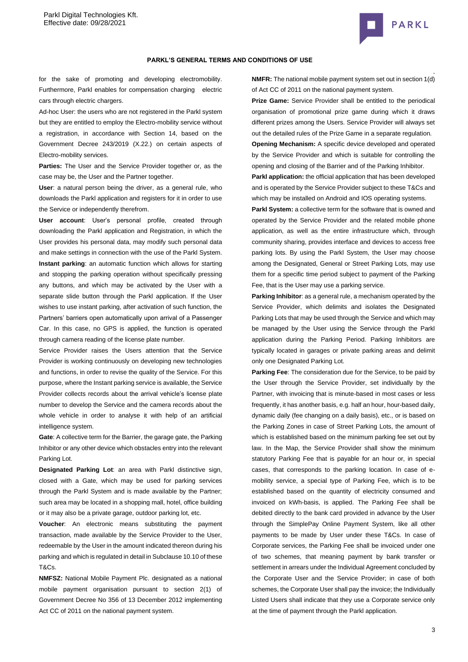

#### **PARKL'S GENERAL TERMS AND CONDITIONS OF USE**

for the sake of promoting and developing electromobility. Furthermore, Parkl enables for compensation charging electric cars through electric chargers.

Ad-hoc User: the users who are not registered in the Parkl system but they are entitled to employ the Electro-mobility service without a registration, in accordance with Section 14, based on the Government Decree 243/2019 (X.22.) on certain aspects of Electro-mobility services.

**Parties:** The User and the Service Provider together or, as the case may be, the User and the Partner together.

**User**: a natural person being the driver, as a general rule, who downloads the Parkl application and registers for it in order to use the Service or independently therefrom.

**User account**: User's personal profile, created through downloading the Parkl application and Registration, in which the User provides his personal data, may modify such personal data and make settings in connection with the use of the Parkl System. **Instant parking**: an automatic function which allows for starting and stopping the parking operation without specifically pressing any buttons, and which may be activated by the User with a separate slide button through the Parkl application. If the User wishes to use instant parking, after activation of such function, the Partners' barriers open automatically upon arrival of a Passenger Car. In this case, no GPS is applied, the function is operated through camera reading of the license plate number.

Service Provider raises the Users attention that the Service Provider is working continuously on developing new technologies and functions, in order to revise the quality of the Service. For this purpose, where the Instant parking service is available, the Service Provider collects records about the arrival vehicle's license plate number to develop the Service and the camera records about the whole vehicle in order to analyse it with help of an artificial intelligence system.

**Gate**: A collective term for the Barrier, the garage gate, the Parking Inhibitor or any other device which obstacles entry into the relevant Parking Lot.

**Designated Parking Lot**: an area with Parkl distinctive sign, closed with a Gate, which may be used for parking services through the Parkl System and is made available by the Partner; such area may be located in a shopping mall, hotel, office building or it may also be a private garage, outdoor parking lot, etc.

**Voucher**: An electronic means substituting the payment transaction, made available by the Service Provider to the User, redeemable by the User in the amount indicated thereon during his parking and which is regulated in detail in Subclause 10.10 of these T&Cs.

**NMFSZ:** National Mobile Payment Plc. designated as a national mobile payment organisation pursuant to section 2(1) of Government Decree No 356 of 13 December 2012 implementing Act CC of 2011 on the national payment system.

**NMFR:** The national mobile payment system set out in section 1(d) of Act CC of 2011 on the national payment system.

**Prize Game:** Service Provider shall be entitled to the periodical organisation of promotional prize game during which it draws different prizes among the Users. Service Provider will always set out the detailed rules of the Prize Game in a separate regulation.

**Opening Mechanism:** A specific device developed and operated by the Service Provider and which is suitable for controlling the opening and closing of the Barrier and of the Parking Inhibitor.

**Parkl application:** the official application that has been developed and is operated by the Service Provider subject to these T&Cs and which may be installed on Android and IOS operating systems.

Parkl System: a collective term for the software that is owned and operated by the Service Provider and the related mobile phone application, as well as the entire infrastructure which, through community sharing, provides interface and devices to access free parking lots. By using the Parkl System, the User may choose among the Designated, General or Street Parking Lots, may use them for a specific time period subject to payment of the Parking Fee, that is the User may use a parking service.

**Parking Inhibitor**: as a general rule, a mechanism operated by the Service Provider, which delimits and isolates the Designated Parking Lots that may be used through the Service and which may be managed by the User using the Service through the Parkl application during the Parking Period. Parking Inhibitors are typically located in garages or private parking areas and delimit only one Designated Parking Lot.

**Parking Fee**: The consideration due for the Service, to be paid by the User through the Service Provider, set individually by the Partner, with invoicing that is minute-based in most cases or less frequently, it has another basis, e.g. half an hour, hour-based daily, dynamic daily (fee changing on a daily basis), etc., or is based on the Parking Zones in case of Street Parking Lots, the amount of which is established based on the minimum parking fee set out by law. In the Map, the Service Provider shall show the minimum statutory Parking Fee that is payable for an hour or, in special cases, that corresponds to the parking location. In case of emobility service, a special type of Parking Fee, which is to be established based on the quantity of electricity consumed and invoiced on kWh-basis, is applied. The Parking Fee shall be debited directly to the bank card provided in advance by the User through the SimplePay Online Payment System, like all other payments to be made by User under these T&Cs. In case of Corporate services, the Parking Fee shall be invoiced under one of two schemes, that meaning payment by bank transfer or settlement in arrears under the Individual Agreement concluded by the Corporate User and the Service Provider; in case of both schemes, the Corporate User shall pay the invoice; the Individually Listed Users shall indicate that they use a Corporate service only at the time of payment through the Parkl application.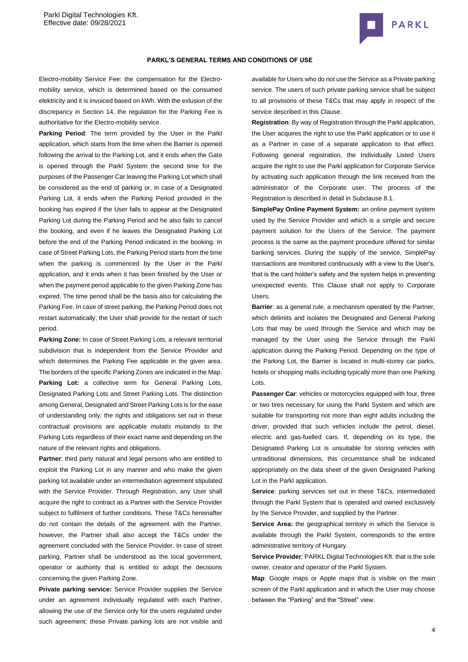

#### **PARKL'S GENERAL TERMS AND CONDITIONS OF USE**

Electro-mobility Service Fee: the compensation for the Electromobility service, which is determined based on the consumed elektricity and it is invoiced based on kWh. With the exlusion of the discrepancy in Section 14, the regulation for the Parking Fee is authoritative for the Electro-mobility service.

**Parking Period**: The term provided by the User in the Parkl application, which starts from the time when the Barrier is opened following the arrival to the Parking Lot, and it ends when the Gate is opened through the Parkl System the second time for the purposes of the Passenger Car leaving the Parking Lot which shall be considered as the end of parking or, in case of a Designated Parking Lot, it ends when the Parking Period provided in the booking has expired if the User fails to appear at the Designated Parking Lot during the Parking Period and he also fails to cancel the booking, and even if he leaves the Designated Parking Lot before the end of the Parking Period indicated in the booking. In case of Street Parking Lots, the Parking Period starts from the time when the parking is commenced by the User in the Parkl application, and it ends when it has been finished by the User or when the payment period applicable to the given Parking Zone has expired. The time period shall be the basis also for calculating the Parking Fee. In case of street parking, the Parking Period does not restart automatically; the User shall provide for the restart of such period.

**Parking Zone:** In case of Street Parking Lots, a relevant territorial subdivision that is independent from the Service Provider and which determines the Parking Fee applicable in the given area. The borders of the specific Parking Zones are indicated in the Map. Parking Lot: a collective term for General Parking Lots, Designated Parking Lots and Street Parking Lots. The distinction among General, Designated and Street Parking Lots is for the ease of understanding only; the rights and obligations set out in these contractual provisions are applicable *mutatis mutandis* to the Parking Lots regardless of their exact name and depending on the nature of the relevant rights and obligations.

**Partner**: third party natural and legal persons who are entitled to exploit the Parking Lot in any manner and who make the given parking lot available under an intermediation agreement stipulated with the Service Provider. Through Registration, any User shall acquire the right to contract as a Partner with the Service Provider subject to fulfilment of further conditions. These T&Cs hereinafter do not contain the details of the agreement with the Partner, however, the Partner shall also accept the T&Cs under the agreement concluded with the Service Provider. In case of street parking, Partner shall be understood as the local government, operator or authority that is entitled to adopt the decisions concerning the given Parking Zone.

**Private parking service:** Service Provider supplies the Service under an agreement individually regulated with each Partner, allowing the use of the Service only for the users regulated under such agreement; these Private parking lots are not visible and available for Users who do not use the Service as a Private parking service. The users of such private parking service shall be subject to all provisions of these T&Cs that may apply in respect of the service described in this Clause.

**Registration**: By way of Registration through the Parkl application, the User acquires the right to use the Parkl application or to use it as a Partner in case of a separate application to that effect. Following general registration, the Individually Listed Users acquire the right to use the Parkl application for Corporate Service by activating such application through the link received from the administrator of the Corporate user. The process of the Registration is described in detail in Subclause [8.1.](#page-6-0)

**SimplePay Online Payment System:** an online payment system used by the Service Provider and which is a simple and secure payment solution for the Users of the Service. The payment process is the same as the payment procedure offered for similar banking services. During the supply of the service, SimplePay transactions are monitored continuously with a view to the User's, that is the card holder's safety and the system helps in preventing unexpected events. This Clause shall not apply to Corporate Users.

**Barrier**: as a general rule, a mechanism operated by the Partner, which delimits and isolates the Designated and General Parking Lots that may be used through the Service and which may be managed by the User using the Service through the Parkl application during the Parking Period. Depending on the type of the Parking Lot, the Barrier is located in multi-storey car parks, hotels or shopping malls including typically more than one Parking Lots.

**Passenger Car**: vehicles or motorcycles equipped with four, three or two tires necessary for using the Parkl System and which are suitable for transporting not more than eight adults including the driver, provided that such vehicles include the petrol, diesel, electric and gas-fuelled cars. If, depending on its type, the Designated Parking Lot is unsuitable for storing vehicles with untraditional dimensions, this circumstance shall be indicated appropriately on the data sheet of the given Designated Parking Lot in the Parkl application.

**Service**: parking services set out in these T&Cs, intermediated through the Parkl System that is operated and owned exclusively by the Service Provider, and supplied by the Partner.

**Service Area:** the geographical territory in which the Service is available through the Parkl System, corresponds to the entire administrative territory of Hungary.

**Service Provider**: PARKL Digital Technologies Kft. that is the sole owner, creator and operator of the Parkl System.

**Map**: Google maps or Apple maps that is visible on the main screen of the Parkl application and in which the User may choose between the "Parking" and the "Street" view.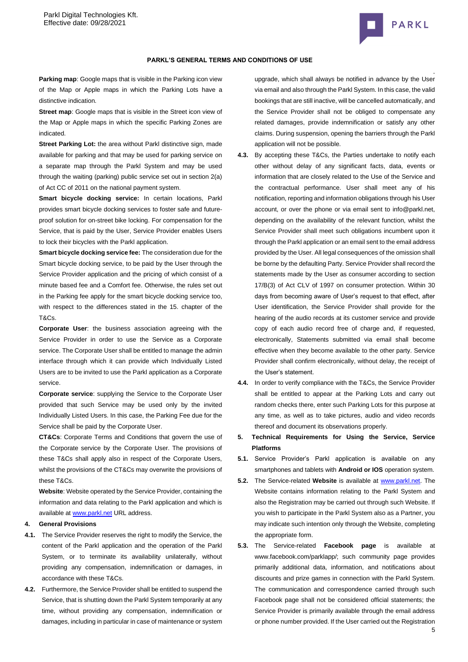

#### **PARKL'S GENERAL TERMS AND CONDITIONS OF USE**

**Parking map**: Google maps that is visible in the Parking icon view of the Map or Apple maps in which the Parking Lots have a distinctive indication.

**Street map**: Google maps that is visible in the Street icon view of the Map or Apple maps in which the specific Parking Zones are indicated.

**Street Parking Lot:** the area without Parkl distinctive sign, made available for parking and that may be used for parking service on a separate map through the Parkl System and may be used through the waiting (parking) public service set out in section 2(a) of Act CC of 2011 on the national payment system.

**Smart bicycle docking service:** In certain locations, Parkl provides smart bicycle docking services to foster safe and futureproof solution for on-street bike locking. For compensation for the Service, that is paid by the User, Service Provider enables Users to lock their bicycles with the Parkl application.

**Smart bicycle docking service fee:** The consideration due for the Smart bicycle docking service, to be paid by the User through the Service Provider application and the pricing of which consist of a minute based fee and a Comfort fee. Otherwise, the rules set out in the Parking fee apply for the smart bicycle docking service too, with respect to the differences stated in the 15. chapter of the T&Cs.

**Corporate User**: the business association agreeing with the Service Provider in order to use the Service as a Corporate service. The Corporate User shall be entitled to manage the admin interface through which it can provide which Individually Listed Users are to be invited to use the Parkl application as a Corporate service.

**Corporate service**: supplying the Service to the Corporate User provided that such Service may be used only by the invited Individually Listed Users. In this case, the Parking Fee due for the Service shall be paid by the Corporate User.

**CT&Cs**: Corporate Terms and Conditions that govern the use of the Corporate service by the Corporate User. The provisions of these T&Cs shall apply also in respect of the Corporate Users, whilst the provisions of the CT&Cs may overwrite the provisions of these T&Cs.

**Website**: Website operated by the Service Provider, containing the information and data relating to the Parkl application and which is available a[t www.parkl.net](http://www.parkl.net/) URL address.

### **4. General Provisions**

- **4.1.** The Service Provider reserves the right to modify the Service, the content of the Parkl application and the operation of the Parkl System, or to terminate its availability unilaterally, without providing any compensation, indemnification or damages, in accordance with these T&Cs.
- **4.2.** Furthermore, the Service Provider shall be entitled to suspend the Service, that is shutting down the Parkl System temporarily at any time, without providing any compensation, indemnification or damages, including in particular in case of maintenance or system

upgrade, which shall always be notified in advance by the User via email and also through the Parkl System. In this case, the valid bookings that are still inactive, will be cancelled automatically, and the Service Provider shall not be obliged to compensate any related damages, provide indemnification or satisfy any other claims. During suspension, opening the barriers through the Parkl application will not be possible.

- **4.3.** By accepting these T&Cs, the Parties undertake to notify each other without delay of any significant facts, data, events or information that are closely related to the Use of the Service and the contractual performance. User shall meet any of his notification, reporting and information obligations through his User account, or over the phone or via email sent to info@parkl.net, depending on the availability of the relevant function, whilst the Service Provider shall meet such obligations incumbent upon it through the Parkl application or an email sent to the email address provided by the User. All legal consequences of the omission shall be borne by the defaulting Party. Service Provider shall record the statements made by the User as consumer according to section 17/B(3) of Act CLV of 1997 on consumer protection. Within 30 days from becoming aware of User's request to that effect, after User identification, the Service Provider shall provide for the hearing of the audio records at its customer service and provide copy of each audio record free of charge and, if requested, electronically, Statements submitted via email shall become effective when they become available to the other party. Service Provider shall confirm electronically, without delay, the receipt of the User's statement.
- **4.4.** In order to verify compliance with the T&Cs, the Service Provider shall be entitled to appear at the Parking Lots and carry out random checks there, enter such Parking Lots for this purpose at any time, as well as to take pictures, audio and video records thereof and document its observations properly.
- **5. Technical Requirements for Using the Service, Service Platforms**
- **5.1.** Service Provider's Parkl application is available on any smartphones and tablets with **Android or IOS** operation system.
- **5.2.** The Service-related **Website** is available at [www.parkl.net.](http://www.parkl.net/) The Website contains information relating to the Parkl System and also the Registration may be carried out through such Website. If you wish to participate in the Parkl System also as a Partner, you may indicate such intention only through the Website, completing the appropriate form.
- **5.3.** The Service-related **Facebook page** is available at www.facebook.com/parklapp/; such community page provides primarily additional data, information, and notifications about discounts and prize games in connection with the Parkl System. The communication and correspondence carried through such Facebook page shall not be considered official statements; the Service Provider is primarily available through the email address or phone number provided. If the User carried out the Registration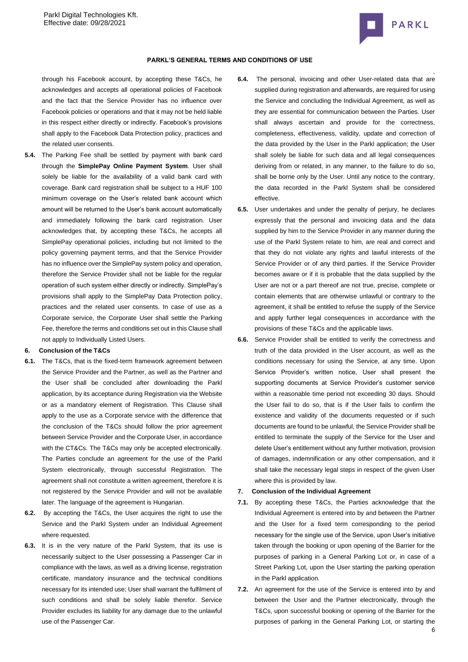

through his Facebook account, by accepting these T&Cs, he acknowledges and accepts all operational policies of Facebook and the fact that the Service Provider has no influence over Facebook policies or operations and that it may not be held liable in this respect either directly or indirectly. Facebook's provisions shall apply to the Facebook Data Protection policy, practices and the related user consents.

**5.4.** The Parking Fee shall be settled by payment with bank card through the **SimplePay Online Payment System**. User shall solely be liable for the availability of a valid bank card with coverage. Bank card registration shall be subject to a HUF 100 minimum coverage on the User's related bank account which amount will be returned to the User's bank account automatically and immediately following the bank card registration. User acknowledges that, by accepting these T&Cs, he accepts all SimplePay operational policies, including but not limited to the policy governing payment terms, and that the Service Provider has no influence over the SimplePay system policy and operation, therefore the Service Provider shall not be liable for the regular operation of such system either directly or indirectly. SimplePay's provisions shall apply to the SimplePay Data Protection policy, practices and the related user consents. In case of use as a Corporate service, the Corporate User shall settle the Parking Fee, therefore the terms and conditions set out in this Clause shall not apply to Individually Listed Users.

#### **6. Conclusion of the T&Cs**

- **6.1.** The T&Cs, that is the fixed-term framework agreement between the Service Provider and the Partner, as well as the Partner and the User shall be concluded after downloading the Parkl application, by its acceptance during Registration via the Website or as a mandatory element of Registration. This Clause shall apply to the use as a Corporate service with the difference that the conclusion of the T&Cs should follow the prior agreement between Service Provider and the Corporate User, in accordance with the CT&Cs. The T&Cs may only be accepted electronically. The Parties conclude an agreement for the use of the Parkl System electronically, through successful Registration. The agreement shall not constitute a written agreement, therefore it is not registered by the Service Provider and will not be available later. The language of the agreement is Hungarian.
- **6.2.** By accepting the T&Cs, the User acquires the right to use the Service and the Parkl System under an Individual Agreement where requested.
- **6.3.** It is in the very nature of the Parkl System, that its use is necessarily subject to the User possessing a Passenger Car in compliance with the laws, as well as a driving license, registration certificate, mandatory insurance and the technical conditions necessary for its intended use; User shall warrant the fulfilment of such conditions and shall be solely liable therefor. Service Provider excludes its liability for any damage due to the unlawful use of the Passenger Car.
- . **6.4.** The personal, invoicing and other User-related data that are supplied during registration and afterwards, are required for using the Service and concluding the Individual Agreement, as well as they are essential for communication between the Parties. User shall always ascertain and provide for the correctness, completeness, effectiveness, validity, update and correction of the data provided by the User in the Parkl application; the User shall solely be liable for such data and all legal consequences deriving from or related, in any manner, to the failure to do so, shall be borne only by the User. Until any notice to the contrary, the data recorded in the Parkl System shall be considered effective.
- **6.5.** User undertakes and under the penalty of perjury, he declares expressly that the personal and invoicing data and the data supplied by him to the Service Provider in any manner during the use of the Parkl System relate to him, are real and correct and that they do not violate any rights and lawful interests of the Service Provider or of any third parties. If the Service Provider becomes aware or if it is probable that the data supplied by the User are not or a part thereof are not true, precise, complete or contain elements that are otherwise unlawful or contrary to the agreement, it shall be entitled to refuse the supply of the Service and apply further legal consequences in accordance with the provisions of these T&Cs and the applicable laws.
- **6.6.** Service Provider shall be entitled to verify the correctness and truth of the data provided in the User account, as well as the conditions necessary for using the Service, at any time. Upon Service Provider's written notice, User shall present the supporting documents at Service Provider's customer service within a reasonable time period not exceeding 30 days. Should the User fail to do so, that is if the User fails to confirm the existence and validity of the documents requested or if such documents are found to be unlawful, the Service Provider shall be entitled to terminate the supply of the Service for the User and delete User's entitlement without any further motivation, provision of damages, indemnification or any other compensation, and it shall take the necessary legal steps in respect of the given User where this is provided by law.

#### **7. Conclusion of the Individual Agreement**

- **7.1.** By accepting these T&Cs, the Parties acknowledge that the Individual Agreement is entered into by and between the Partner and the User for a fixed term corresponding to the period necessary for the single use of the Service, upon User's initiative taken through the booking or upon opening of the Barrier for the purposes of parking in a General Parking Lot or, in case of a Street Parking Lot, upon the User starting the parking operation in the Parkl application.
- **7.2.** An agreement for the use of the Service is entered into by and between the User and the Partner electronically, through the T&Cs, upon successful booking or opening of the Barrier for the purposes of parking in the General Parking Lot, or starting the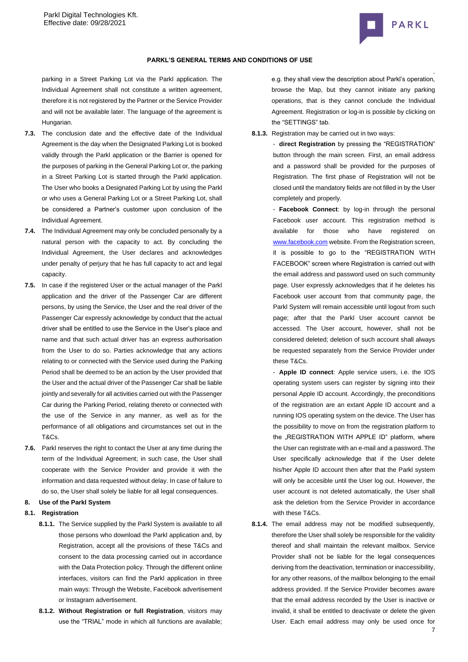

#### **PARKL'S GENERAL TERMS AND CONDITIONS OF USE**

parking in a Street Parking Lot via the Parkl application. The Individual Agreement shall not constitute a written agreement, therefore it is not registered by the Partner or the Service Provider and will not be available later. The language of the agreement is Hungarian.

- **7.3.** The conclusion date and the effective date of the Individual Agreement is the day when the Designated Parking Lot is booked validly through the Parkl application or the Barrier is opened for the purposes of parking in the General Parking Lot or, the parking in a Street Parking Lot is started through the Parkl application. The User who books a Designated Parking Lot by using the Parkl or who uses a General Parking Lot or a Street Parking Lot, shall be considered a Partner's customer upon conclusion of the Individual Agreement.
- **7.4.** The Individual Agreement may only be concluded personally by a natural person with the capacity to act. By concluding the Individual Agreement, the User declares and acknowledges under penalty of perjury that he has full capacity to act and legal capacity.
- **7.5.** In case if the registered User or the actual manager of the Parkl application and the driver of the Passenger Car are different persons, by using the Service, the User and the real driver of the Passenger Car expressly acknowledge by conduct that the actual driver shall be entitled to use the Service in the User's place and name and that such actual driver has an express authorisation from the User to do so. Parties acknowledge that any actions relating to or connected with the Service used during the Parking Period shall be deemed to be an action by the User provided that the User and the actual driver of the Passenger Car shall be liable jointly and severally for all activities carried out with the Passenger Car during the Parking Period, relating thereto or connected with the use of the Service in any manner, as well as for the performance of all obligations and circumstances set out in the T&Cs.
- **7.6.** Parkl reserves the right to contact the User at any time during the term of the Individual Agreement; in such case, the User shall cooperate with the Service Provider and provide it with the information and data requested without delay. In case of failure to do so, the User shall solely be liable for all legal consequences.
- **8. Use of the Parkl System**
- <span id="page-6-0"></span>**8.1. Registration**
	- **8.1.1.** The Service supplied by the Parkl System is available to all those persons who download the Parkl application and, by Registration, accept all the provisions of these T&Cs and consent to the data processing carried out in accordance with the Data Protection policy. Through the different online interfaces, visitors can find the Parkl application in three main ways: Through the Website, Facebook advertisement or Instagram advertisement.
	- **8.1.2. Without Registration or full Registration**, visitors may use the "TRIAL" mode in which all functions are available;

e.g. they shall view the description about Parkl's operation, browse the Map, but they cannot initiate any parking operations, that is they cannot conclude the Individual Agreement. Registration or log-in is possible by clicking on the "SETTINGS" tab.

**8.1.3.** Registration may be carried out in two ways:

- **direct Registration** by pressing the "REGISTRATION" button through the main screen. First, an email address and a password shall be provided for the purposes of Registration. The first phase of Registration will not be closed until the mandatory fields are not filled in by the User completely and properly.

- **Facebook Connect**: by log-in through the personal Facebook user account. This registration method is available for those who have registered on [www.facebook.com](http://www.facebook.com/) website. From the Registration screen, it is possible to go to the "REGISTRATION WITH FACEBOOK" screen where Registration is carried out with the email address and password used on such community page. User expressly acknowledges that if he deletes his Facebook user account from that community page, the Parkl System will remain accessible until logout from such page; after that the Parkl User account cannot be accessed. The User account, however, shall not be considered deleted; deletion of such account shall always be requested separately from the Service Provider under these T&Cs.

- **Apple ID connect**: Apple service users, i.e. the IOS operating system users can register by signing into their personal Apple ID account. Accordingly, the preconditions of the registration are an extant Apple ID account and a running IOS operating system on the device. The User has the possibility to move on from the registration platform to the ..REGISTRATION WITH APPLE ID" platform, where the User can registrate with an e-mail and a password. The User specifically acknowledge that if the User delete his/her Apple ID account then after that the Parkl system will only be accesible until the User log out. However, the user account is not deleted automatically, the User shall ask the deletion from the Service Provider in accordance with these T&Cs.

**8.1.4.** The email address may not be modified subsequently, therefore the User shall solely be responsible for the validity thereof and shall maintain the relevant mailbox. Service Provider shall not be liable for the legal consequences deriving from the deactivation, termination or inaccessibility, for any other reasons, of the mailbox belonging to the email address provided. If the Service Provider becomes aware that the email address recorded by the User is inactive or invalid, it shall be entitled to deactivate or delete the given User. Each email address may only be used once for

7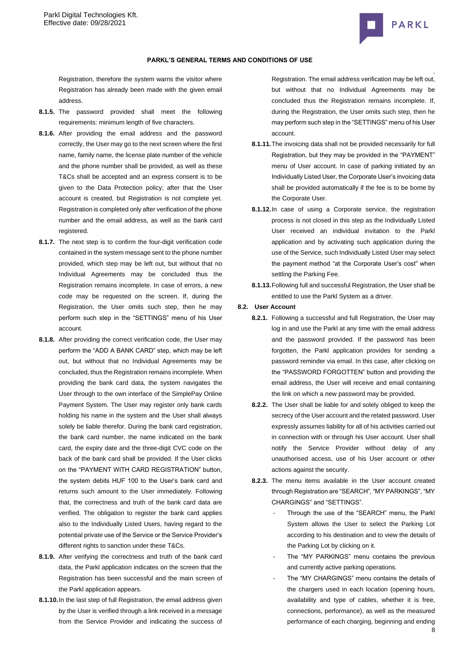

Registration, therefore the system warns the visitor where Registration has already been made with the given email address.

- **8.1.5.** The password provided shall meet the following requirements: minimum length of five characters.
- **8.1.6.** After providing the email address and the password correctly, the User may go to the next screen where the first name, family name, the license plate number of the vehicle and the phone number shall be provided, as well as these T&Cs shall be accepted and an express consent is to be given to the Data Protection policy; after that the User account is created, but Registration is not complete yet. Registration is completed only after verification of the phone number and the email address, as well as the bank card registered.
- **8.1.7.** The next step is to confirm the four-digit verification code contained in the system message sent to the phone number provided, which step may be left out, but without that no Individual Agreements may be concluded thus the Registration remains incomplete. In case of errors, a new code may be requested on the screen. If, during the Registration, the User omits such step, then he may perform such step in the "SETTINGS" menu of his User account.
- **8.1.8.** After providing the correct verification code, the User may perform the "ADD A BANK CARD" step, which may be left out, but without that no Individual Agreements may be concluded, thus the Registration remains incomplete. When providing the bank card data, the system navigates the User through to the own interface of the SimplePay Online Payment System. The User may register only bank cards holding his name in the system and the User shall always solely be liable therefor. During the bank card registration, the bank card number, the name indicated on the bank card, the expiry date and the three-digit CVC code on the back of the bank card shall be provided. If the User clicks on the "PAYMENT WITH CARD REGISTRATION" button, the system debits HUF 100 to the User's bank card and returns such amount to the User immediately. Following that, the correctness and truth of the bank card data are verified. The obligation to register the bank card applies also to the Individually Listed Users, having regard to the potential private use of the Service or the Service Provider's different rights to sanction under these T&Cs.
- **8.1.9.** After verifying the correctness and truth of the bank card data, the Parkl application indicates on the screen that the Registration has been successful and the main screen of the Parkl application appears.
- **8.1.10.**In the last step of full Registration, the email address given by the User is verified through a link received in a message from the Service Provider and indicating the success of

. Registration. The email address verification may be left out, but without that no Individual Agreements may be concluded thus the Registration remains incomplete. If, during the Registration, the User omits such step, then he may perform such step in the "SETTINGS" menu of his User account.

- **8.1.11.**The invoicing data shall not be provided necessarily for full Registration, but they may be provided in the "PAYMENT" menu of User account. In case of parking initiated by an Individually Listed User, the Corporate User's invoicing data shall be provided automatically if the fee is to be borne by the Corporate User.
- **8.1.12.**In case of using a Corporate service, the registration process is not closed in this step as the Individually Listed User received an individual invitation to the Parkl application and by activating such application during the use of the Service, such Individually Listed User may select the payment method "at the Corporate User's cost" when settling the Parking Fee.
- **8.1.13.**Following full and successful Registration, the User shall be entitled to use the Parkl System as a driver.

## **8.2. User Account**

- **8.2.1.** Following a successful and full Registration, the User may log in and use the Parkl at any time with the email address and the password provided. If the password has been forgotten, the Parkl application provides for sending a password reminder via email. In this case, after clicking on the "PASSWORD FORGOTTEN" button and providing the email address, the User will receive and email containing the link on which a new password may be provided.
- **8.2.2.** The User shall be liable for and solely obliged to keep the secrecy of the User account and the related password. User expressly assumes liability for all of his activities carried out in connection with or through his User account. User shall notify the Service Provider without delay of any unauthorised access, use of his User account or other actions against the security.
- **8.2.3.** The menu items available in the User account created through Registration are "SEARCH", "MY PARKINGS", "MY CHARGINGS" and "SETTINGS".
	- Through the use of the "SEARCH" menu, the Parkl System allows the User to select the Parking Lot according to his destination and to view the details of the Parking Lot by clicking on it.
	- The "MY PARKINGS" menu contains the previous and currently active parking operations.
	- The "MY CHARGINGS" menu contains the details of the chargers used in each location (opening hours, availability and type of cables, whether it is free, connections, performance), as well as the measured performance of each charging, beginning and ending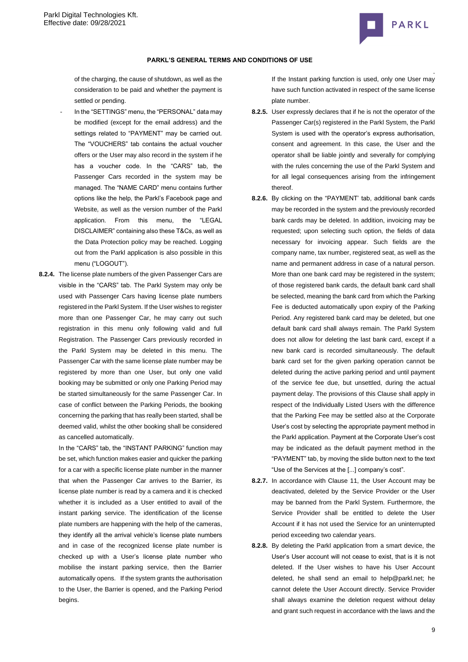

of the charging, the cause of shutdown, as well as the consideration to be paid and whether the payment is settled or pending.

- In the "SETTINGS" menu, the "PERSONAL" data may be modified (except for the email address) and the settings related to "PAYMENT" may be carried out. The "VOUCHERS" tab contains the actual voucher offers or the User may also record in the system if he has a voucher code. In the "CARS" tab, the Passenger Cars recorded in the system may be managed. The "NAME CARD" menu contains further options like the help, the Parkl's Facebook page and Website, as well as the version number of the Parkl application. From this menu, the "LEGAL DISCLAIMER" containing also these T&Cs, as well as the Data Protection policy may be reached. Logging out from the Parkl application is also possible in this menu ("LOGOUT").
- **8.2.4.** The license plate numbers of the given Passenger Cars are visible in the "CARS" tab. The Parkl System may only be used with Passenger Cars having license plate numbers registered in the Parkl System. If the User wishes to register more than one Passenger Car, he may carry out such registration in this menu only following valid and full Registration. The Passenger Cars previously recorded in the Parkl System may be deleted in this menu. The Passenger Car with the same license plate number may be registered by more than one User, but only one valid booking may be submitted or only one Parking Period may be started simultaneously for the same Passenger Car. In case of conflict between the Parking Periods, the booking concerning the parking that has really been started, shall be deemed valid, whilst the other booking shall be considered as cancelled automatically.

In the "CARS" tab, the "INSTANT PARKING" function may be set, which function makes easier and quicker the parking for a car with a specific license plate number in the manner that when the Passenger Car arrives to the Barrier, its license plate number is read by a camera and it is checked whether it is included as a User entitled to avail of the instant parking service. The identification of the license plate numbers are happening with the help of the cameras, they identify all the arrival vehicle's license plate numbers and in case of the recognized license plate number is checked up with a User's license plate number who mobilise the instant parking service, then the Barrier automatically opens. If the system grants the authorisation to the User, the Barrier is opened, and the Parking Period begins.

. If the Instant parking function is used, only one User may have such function activated in respect of the same license plate number.

- **8.2.5.** User expressly declares that if he is not the operator of the Passenger Car(s) registered in the Parkl System, the Parkl System is used with the operator's express authorisation, consent and agreement. In this case, the User and the operator shall be liable jointly and severally for complying with the rules concerning the use of the Parkl System and for all legal consequences arising from the infringement thereof.
- **8.2.6.** By clicking on the "PAYMENT' tab, additional bank cards may be recorded in the system and the previously recorded bank cards may be deleted. In addition, invoicing may be requested; upon selecting such option, the fields of data necessary for invoicing appear. Such fields are the company name, tax number, registered seat, as well as the name and permanent address in case of a natural person. More than one bank card may be registered in the system: of those registered bank cards, the default bank card shall be selected, meaning the bank card from which the Parking Fee is deducted automatically upon expiry of the Parking Period. Any registered bank card may be deleted, but one default bank card shall always remain. The Parkl System does not allow for deleting the last bank card, except if a new bank card is recorded simultaneously. The default bank card set for the given parking operation cannot be deleted during the active parking period and until payment of the service fee due, but unsettled, during the actual payment delay. The provisions of this Clause shall apply in respect of the Individually Listed Users with the difference that the Parking Fee may be settled also at the Corporate User's cost by selecting the appropriate payment method in the Parkl application. Payment at the Corporate User's cost may be indicated as the default payment method in the "PAYMENT" tab, by moving the slide button next to the text "Use of the Services at the [...] company's cost".
- **8.2.7.** In accordance with Clause 11, the User Account may be deactivated, deleted by the Service Provider or the User may be banned from the Parkl System. Furthermore, the Service Provider shall be entitled to delete the User Account if it has not used the Service for an uninterrupted period exceeding two calendar years.
- **8.2.8.** By deleting the Parkl application from a smart device, the User's User account will not cease to exist, that is it is not deleted. If the User wishes to have his User Account deleted, he shall send an email to help@parkl.net; he cannot delete the User Account directly. Service Provider shall always examine the deletion request without delay and grant such request in accordance with the laws and the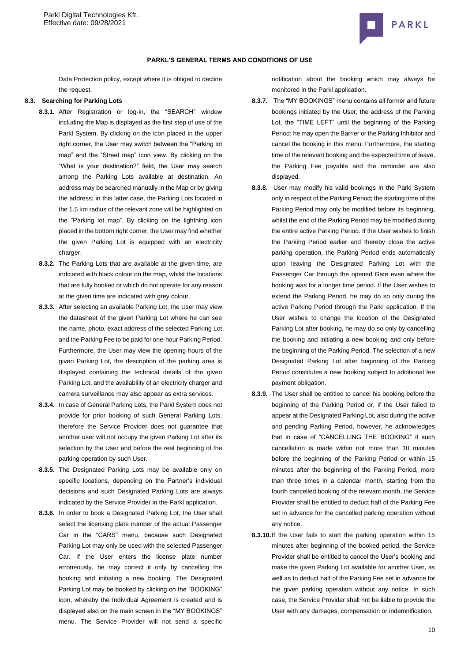

### **PARKL'S GENERAL TERMS AND CONDITIONS OF USE**

Data Protection policy, except where it is obliged to decline the request.

## **8.3. Searching for Parking Lots**

- **8.3.1.** After Registration or log-in, the "SEARCH" window including the Map is displayed as the first step of use of the Parkl System. By clicking on the icon placed in the upper right corner, the User may switch between the "Parking lot map" and the "Street map" icon view. By clicking on the "What is your destination?" field, the User may search among the Parking Lots available at destination. An address may be searched manually in the Map or by giving the address; in this latter case, the Parking Lots located in the 1.5 km radius of the relevant zone will be highlighted on the "Parking lot map". By clicking on the lightning icon placed in the bottom right corner, the User may find whether the given Parking Lot is equipped with an electricity charger.
- **8.3.2.** The Parking Lots that are available at the given time, are indicated with black colour on the map, whilst the locations that are fully booked or which do not operate for any reason at the given time are indicated with grey colour.
- **8.3.3.** After selecting an available Parking Lot, the User may view the datasheet of the given Parking Lot where he can see the name, photo, exact address of the selected Parking Lot and the Parking Fee to be paid for one-hour Parking Period. Furthermore, the User may view the opening hours of the given Parking Lot, the description of the parking area is displayed containing the technical details of the given Parking Lot, and the availability of an electricity charger and camera surveillance may also appear as extra services.
- **8.3.4.** In case of General Parking Lots, the Parkl System does not provide for prior booking of such General Parking Lots, therefore the Service Provider does not guarantee that another user will not occupy the given Parking Lot after its selection by the User and before the real beginning of the parking operation by such User.
- **8.3.5.** The Designated Parking Lots may be available only on specific locations, depending on the Partner's individual decisions and such Designated Parking Lots are always indicated by the Service Provider in the Parkl application.
- **8.3.6.** In order to book a Designated Parking Lot, the User shall select the licensing plate number of the actual Passenger Car in the "CARS" menu, because such Designated Parking Lot may only be used with the selected Passenger Car. If the User enters the license plate number erroneously, he may correct it only by cancelling the booking and initiating a new booking. The Designated Parking Lot may be booked by clicking on the "BOOKING" icon, whereby the Individual Agreement is created and is displayed also on the main screen in the "MY BOOKINGS" menu. The Service Provider will not send a specific

notification about the booking which may always be monitored in the Parkl application.

- **8.3.7.** The "MY BOOKINGS" menu contains all former and future bookings initiated by the User, the address of the Parking Lot, the "TIME LEFT" until the beginning of the Parking Period; he may open the Barrier or the Parking Inhibitor and cancel the booking in this menu. Furthermore, the starting time of the relevant booking and the expected time of leave, the Parking Fee payable and the reminder are also displayed.
- **8.3.8.** User may modify his valid bookings in the Parkl System only in respect of the Parking Period; the starting time of the Parking Period may only be modified before its beginning, whilst the end of the Parking Period may be modified during the entire active Parking Period. If the User wishes to finish the Parking Period earlier and thereby close the active parking operation, the Parking Period ends automatically upon leaving the Designated Parking Lot with the Passenger Car through the opened Gate even where the booking was for a longer time period. If the User wishes to extend the Parking Period, he may do so only during the active Parking Period through the Parkl application. If the User wishes to change the location of the Designated Parking Lot after booking, he may do so only by cancelling the booking and initiating a new booking and only before the beginning of the Parking Period. The selection of a new Designated Parking Lot after beginning of the Parking Period constitutes a new booking subject to additional fee payment obligation.
- **8.3.9.** The User shall be entitled to cancel his booking before the beginning of the Parking Period or, if the User failed to appear at the Designated Parking Lot, also during the active and pending Parking Period, however, he acknowledges that in case of "CANCELLING THE BOOKING" if such cancellation is made within not more than 10 minutes before the beginning of the Parking Period or within 15 minutes after the beginning of the Parking Period, more than three times in a calendar month, starting from the fourth cancelled booking of the relevant month, the Service Provider shall be entitled to deduct half of the Parking Fee set in advance for the cancelled parking operation without any notice.
- **8.3.10.**If the User fails to start the parking operation within 15 minutes after beginning of the booked period, the Service Provider shall be entitled to cancel the User's booking and make the given Parking Lot available for another User, as well as to deduct half of the Parking Fee set in advance for the given parking operation without any notice. In such case, the Service Provider shall not be liable to provide the User with any damages, compensation or indemnification.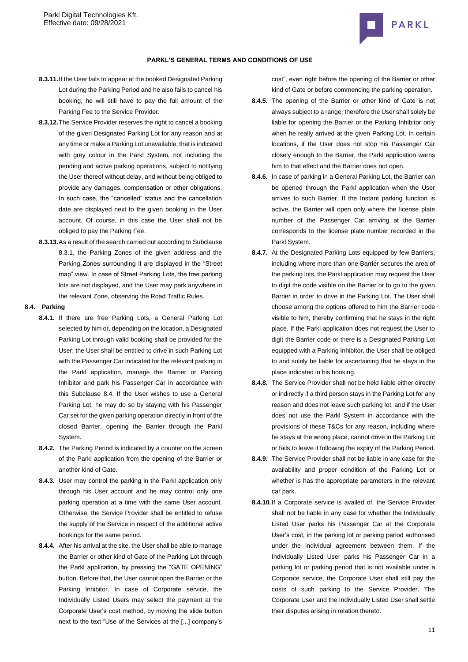

## **PARKL'S GENERAL TERMS AND CONDITIONS OF USE**

- **8.3.11.**If the User fails to appear at the booked Designated Parking Lot during the Parking Period and he also fails to cancel his booking, he will still have to pay the full amount of the Parking Fee to the Service Provider.
- **8.3.12.**The Service Provider reserves the right to cancel a booking of the given Designated Parking Lot for any reason and at any time or make a Parking Lot unavailable, that is indicated with grey colour in the Parkl System, not including the pending and active parking operations, subject to notifying the User thereof without delay, and without being obliged to provide any damages, compensation or other obligations. In such case, the "cancelled" status and the cancellation date are displayed next to the given booking in the User account. Of course, in this case the User shall not be obliged to pay the Parking Fee.
- **8.3.13.**As a result of the search carried out according to Subclause 8.3.1, the Parking Zones of the given address and the Parking Zones surrounding it are displayed in the "Street map" view. In case of Street Parking Lots, the free parking lots are not displayed, and the User may park anywhere in the relevant Zone, observing the Road Traffic Rules.

# <span id="page-10-0"></span>**8.4. Parking**

- **8.4.1.** If there are free Parking Lots, a General Parking Lot selected by him or, depending on the location, a Designated Parking Lot through valid booking shall be provided for the User; the User shall be entitled to drive in such Parking Lot with the Passenger Car indicated for the relevant parking in the Parkl application, manage the Barrier or Parking Inhibitor and park his Passenger Car in accordance with this Subclause [8.4.](#page-10-0) If the User wishes to use a General Parking Lot, he may do so by staying with his Passenger Car set for the given parking operation directly in front of the closed Barrier, opening the Barrier through the Parkl System.
- **8.4.2.** The Parking Period is indicated by a counter on the screen of the Parkl application from the opening of the Barrier or another kind of Gate.
- **8.4.3.** User may control the parking in the Parkl application only through his User account and he may control only one parking operation at a time with the same User account. Otherwise, the Service Provider shall be entitled to refuse the supply of the Service in respect of the additional active bookings for the same period.
- **8.4.4.** After his arrival at the site, the User shall be able to manage the Barrier or other kind of Gate of the Parking Lot through the Parkl application, by pressing the "GATE OPENING" button. Before that, the User cannot open the Barrier or the Parking Inhibitor. In case of Corporate service, the Individually Listed Users may select the payment at the Corporate User's cost method, by moving the slide button next to the text "Use of the Services at the [...] company's

cost", even right before the opening of the Barrier or other kind of Gate or before commencing the parking operation.

- **8.4.5.** The opening of the Barrier or other kind of Gate is not always subject to a range, therefore the User shall solely be liable for opening the Barrier or the Parking Inhibitor only when he really arrived at the given Parking Lot. In certain locations, if the User does not stop his Passenger Car closely enough to the Barrier, the Parkl application warns him to that effect and the Barrier does not open.
- **8.4.6.** In case of parking in a General Parking Lot, the Barrier can be opened through the Parkl application when the User arrives to such Barrier. If the Instant parking function is active, the Barrier will open only where the license plate number of the Passenger Car arriving at the Barrier corresponds to the license plate number recorded in the Parkl System.
- **8.4.7.** At the Designated Parking Lots equipped by few Barriers, including where more than one Barrier secures the area of the parking lots, the Parkl application may request the User to digit the code visible on the Barrier or to go to the given Barrier in order to drive in the Parking Lot. The User shall choose among the options offered to him the Barrier code visible to him, thereby confirming that he stays in the right place. If the Parkl application does not request the User to digit the Barrier code or there is a Designated Parking Lot equipped with a Parking Inhibitor, the User shall be obliged to and solely be liable for ascertaining that he stays in the place indicated in his booking.
- **8.4.8.** The Service Provider shall not be held liable either directly or indirectly if a third person stays in the Parking Lot for any reason and does not leave such parking lot, and if the User does not use the Parkl System in accordance with the provisions of these T&Cs for any reason, including where he stays at the wrong place, cannot drive in the Parking Lot or fails to leave it following the expiry of the Parking Period.
- **8.4.9.** The Service Provider shall not be liable in any case for the availability and proper condition of the Parking Lot or whether is has the appropriate parameters in the relevant car park.
- **8.4.10.**If a Corporate service is availed of, the Service Provider shall not be liable in any case for whether the Individually Listed User parks his Passenger Car at the Corporate User's cost, in the parking lot or parking period authorised under the individual agreement between them. If the Individually Listed User parks his Passenger Car in a parking lot or parking period that is not available under a Corporate service, the Corporate User shall still pay the costs of such parking to the Service Provider. The Corporate User and the Individually Listed User shall settle their disputes arising in relation thereto.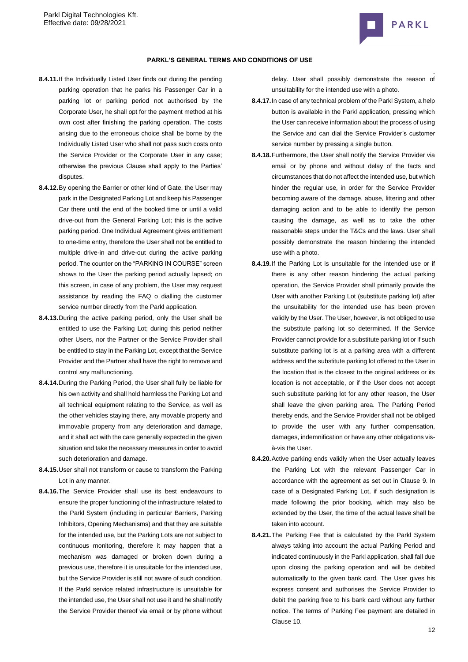

- **8.4.11.**If the Individually Listed User finds out during the pending parking operation that he parks his Passenger Car in a parking lot or parking period not authorised by the Corporate User, he shall opt for the payment method at his own cost after finishing the parking operation. The costs arising due to the erroneous choice shall be borne by the Individually Listed User who shall not pass such costs onto the Service Provider or the Corporate User in any case; otherwise the previous Clause shall apply to the Parties' disputes.
- **8.4.12.**By opening the Barrier or other kind of Gate, the User may park in the Designated Parking Lot and keep his Passenger Car there until the end of the booked time or until a valid drive-out from the General Parking Lot; this is the active parking period. One Individual Agreement gives entitlement to one-time entry, therefore the User shall not be entitled to multiple drive-in and drive-out during the active parking period. The counter on the "PARKING IN COURSE" screen shows to the User the parking period actually lapsed; on this screen, in case of any problem, the User may request assistance by reading the FAQ o dialling the customer service number directly from the Parkl application.
- **8.4.13.**During the active parking period, only the User shall be entitled to use the Parking Lot; during this period neither other Users, nor the Partner or the Service Provider shall be entitled to stay in the Parking Lot, except that the Service Provider and the Partner shall have the right to remove and control any malfunctioning.
- **8.4.14.**During the Parking Period, the User shall fully be liable for his own activity and shall hold harmless the Parking Lot and all technical equipment relating to the Service, as well as the other vehicles staying there, any movable property and immovable property from any deterioration and damage, and it shall act with the care generally expected in the given situation and take the necessary measures in order to avoid such deterioration and damage.
- **8.4.15.**User shall not transform or cause to transform the Parking Lot in any manner.
- **8.4.16.**The Service Provider shall use its best endeavours to ensure the proper functioning of the infrastructure related to the Parkl System (including in particular Barriers, Parking Inhibitors, Opening Mechanisms) and that they are suitable for the intended use, but the Parking Lots are not subject to continuous monitoring, therefore it may happen that a mechanism was damaged or broken down during a previous use, therefore it is unsuitable for the intended use, but the Service Provider is still not aware of such condition. If the Parkl service related infrastructure is unsuitable for the intended use, the User shall not use it and he shall notify the Service Provider thereof via email or by phone without

. delay. User shall possibly demonstrate the reason of unsuitability for the intended use with a photo.

- **8.4.17.**In case of any technical problem of the Parkl System, a help button is available in the Parkl application, pressing which the User can receive information about the process of using the Service and can dial the Service Provider's customer service number by pressing a single button.
- **8.4.18.**Furthermore, the User shall notify the Service Provider via email or by phone and without delay of the facts and circumstances that do not affect the intended use, but which hinder the regular use, in order for the Service Provider becoming aware of the damage, abuse, littering and other damaging action and to be able to identify the person causing the damage, as well as to take the other reasonable steps under the T&Cs and the laws. User shall possibly demonstrate the reason hindering the intended use with a photo.
- **8.4.19.**If the Parking Lot is unsuitable for the intended use or if there is any other reason hindering the actual parking operation, the Service Provider shall primarily provide the User with another Parking Lot (substitute parking lot) after the unsuitability for the intended use has been proven validly by the User. The User, however, is not obliged to use the substitute parking lot so determined. If the Service Provider cannot provide for a substitute parking lot or if such substitute parking lot is at a parking area with a different address and the substitute parking lot offered to the User in the location that is the closest to the original address or its location is not acceptable, or if the User does not accept such substitute parking lot for any other reason, the User shall leave the given parking area. The Parking Period thereby ends, and the Service Provider shall not be obliged to provide the user with any further compensation, damages, indemnification or have any other obligations visà-vis the User.
- **8.4.20.**Active parking ends validly when the User actually leaves the Parking Lot with the relevant Passenger Car in accordance with the agreement as set out in Clause [9.](#page-12-0) In case of a Designated Parking Lot, if such designation is made following the prior booking, which may also be extended by the User, the time of the actual leave shall be taken into account.
- **8.4.21.**The Parking Fee that is calculated by the Parkl System always taking into account the actual Parking Period and indicated continuously in the Parkl application, shall fall due upon closing the parking operation and will be debited automatically to the given bank card. The User gives his express consent and authorises the Service Provider to debit the parking free to his bank card without any further notice. The terms of Parking Fee payment are detailed in Claus[e 10.](#page-12-1)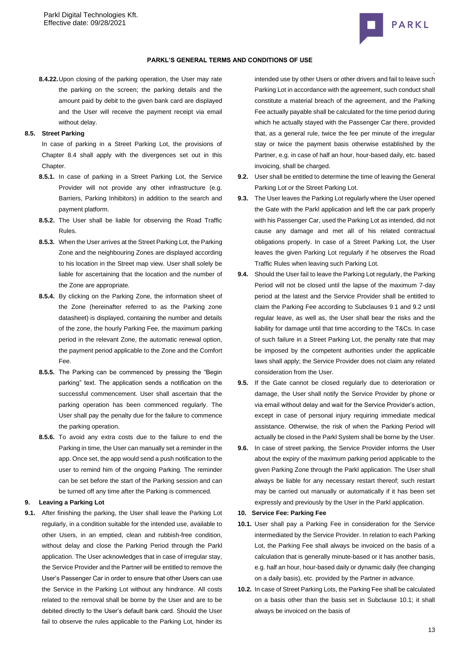

#### **PARKL'S GENERAL TERMS AND CONDITIONS OF USE**

**8.4.22.**Upon closing of the parking operation, the User may rate the parking on the screen; the parking details and the amount paid by debit to the given bank card are displayed and the User will receive the payment receipt via email without delay.

### **8.5. Street Parking**

In case of parking in a Street Parking Lot, the provisions of Chapter 8.4 shall apply with the divergences set out in this Chapter.

- **8.5.1.** In case of parking in a Street Parking Lot, the Service Provider will not provide any other infrastructure (e.g. Barriers, Parking Inhibitors) in addition to the search and payment platform.
- **8.5.2.** The User shall be liable for observing the Road Traffic Rules.
- **8.5.3.** When the User arrives at the Street Parking Lot, the Parking Zone and the neighbouring Zones are displayed according to his location in the Street map view. User shall solely be liable for ascertaining that the location and the number of the Zone are appropriate.
- **8.5.4.** By clicking on the Parking Zone, the information sheet of the Zone (hereinafter referred to as the Parking zone datasheet) is displayed, containing the number and details of the zone, the hourly Parking Fee, the maximum parking period in the relevant Zone, the automatic renewal option, the payment period applicable to the Zone and the Comfort Fee.
- **8.5.5.** The Parking can be commenced by pressing the "Begin parking" text. The application sends a notification on the successful commencement. User shall ascertain that the parking operation has been commenced regularly. The User shall pay the penalty due for the failure to commence the parking operation.
- **8.5.6.** To avoid any extra costs due to the failure to end the Parking in time, the User can manually set a reminder in the app. Once set, the app would send a push notification to the user to remind him of the ongoing Parking. The reminder can be set before the start of the Parking session and can be turned off any time after the Parking is commenced.

# <span id="page-12-0"></span>**9. Leaving a Parking Lot**

**9.1.** After finishing the parking, the User shall leave the Parking Lot regularly, in a condition suitable for the intended use, available to other Users, in an emptied, clean and rubbish-free condition, without delay and close the Parking Period through the Parkl application. The User acknowledges that in case of irregular stay, the Service Provider and the Partner will be entitled to remove the User's Passenger Car in order to ensure that other Users can use the Service in the Parking Lot without any hindrance. All costs related to the removal shall be borne by the User and are to be debited directly to the User's default bank card. Should the User fail to observe the rules applicable to the Parking Lot, hinder its

intended use by other Users or other drivers and fail to leave such Parking Lot in accordance with the agreement, such conduct shall constitute a material breach of the agreement, and the Parking Fee actually payable shall be calculated for the time period during which he actually stayed with the Passenger Car there, provided that, as a general rule, twice the fee per minute of the irregular stay or twice the payment basis otherwise established by the Partner, e.g. in case of half an hour, hour-based daily, etc. based invoicing, shall be charged.

- **9.2.** User shall be entitled to determine the time of leaving the General Parking Lot or the Street Parking Lot.
- **9.3.** The User leaves the Parking Lot regularly where the User opened the Gate with the Parkl application and left the car park properly with his Passenger Car, used the Parking Lot as intended, did not cause any damage and met all of his related contractual obligations properly. In case of a Street Parking Lot, the User leaves the given Parking Lot regularly if he observes the Road Traffic Rules when leaving such Parking Lot.
- **9.4.** Should the User fail to leave the Parking Lot regularly, the Parking Period will not be closed until the lapse of the maximum 7-day period at the latest and the Service Provider shall be entitled to claim the Parking Fee according to Subclauses 9.1 and 9.2 until regular leave, as well as, the User shall bear the risks and the liability for damage until that time according to the T&Cs. In case of such failure in a Street Parking Lot, the penalty rate that may be imposed by the competent authorities under the applicable laws shall apply; the Service Provider does not claim any related consideration from the User.
- **9.5.** If the Gate cannot be closed regularly due to deterioration or damage, the User shall notify the Service Provider by phone or via email without delay and wait for the Service Provider's action, except in case of personal injury requiring immediate medical assistance. Otherwise, the risk of when the Parking Period will actually be closed in the Parkl System shall be borne by the User.
- **9.6.** In case of street parking, the Service Provider informs the User about the expiry of the maximum parking period applicable to the given Parking Zone through the Parkl application. The User shall always be liable for any necessary restart thereof; such restart may be carried out manually or automatically if it has been set expressly and previously by the User in the Parkl application.

# <span id="page-12-1"></span>**10. Service Fee: Parking Fee**

- **10.1.** User shall pay a Parking Fee in consideration for the Service intermediated by the Service Provider. In relation to each Parking Lot, the Parking Fee shall always be invoiced on the basis of a calculation that is generally minute-based or it has another basis, e.g. half an hour, hour-based daily or dynamic daily (fee changing on a daily basis), etc. provided by the Partner in advance.
- **10.2.** In case of Street Parking Lots, the Parking Fee shall be calculated on a basis other than the basis set in Subclause 10.1; it shall always be invoiced on the basis of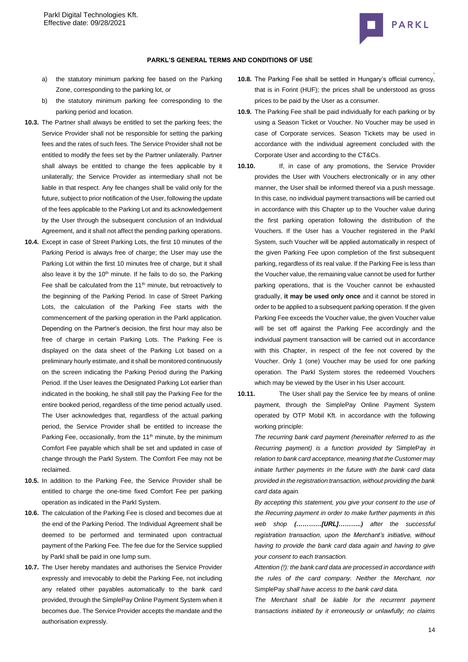

- a) the statutory minimum parking fee based on the Parking Zone, corresponding to the parking lot, or
- b) the statutory minimum parking fee corresponding to the parking period and location.
- **10.3.** The Partner shall always be entitled to set the parking fees; the Service Provider shall not be responsible for setting the parking fees and the rates of such fees. The Service Provider shall not be entitled to modify the fees set by the Partner unilaterally. Partner shall always be entitled to change the fees applicable by it unilaterally; the Service Provider as intermediary shall not be liable in that respect. Any fee changes shall be valid only for the future, subject to prior notification of the User, following the update of the fees applicable to the Parking Lot and its acknowledgement by the User through the subsequent conclusion of an Individual Agreement, and it shall not affect the pending parking operations.
- **10.4.** Except in case of Street Parking Lots, the first 10 minutes of the Parking Period is always free of charge; the User may use the Parking Lot within the first 10 minutes free of charge, but it shall also leave it by the  $10<sup>th</sup>$  minute. If he fails to do so, the Parking Fee shall be calculated from the 11<sup>th</sup> minute, but retroactively to the beginning of the Parking Period. In case of Street Parking Lots, the calculation of the Parking Fee starts with the commencement of the parking operation in the Parkl application. Depending on the Partner's decision, the first hour may also be free of charge in certain Parking Lots. The Parking Fee is displayed on the data sheet of the Parking Lot based on a preliminary hourly estimate, and it shall be monitored continuously on the screen indicating the Parking Period during the Parking Period. If the User leaves the Designated Parking Lot earlier than indicated in the booking, he shall still pay the Parking Fee for the entire booked period, regardless of the time period actually used. The User acknowledges that, regardless of the actual parking period, the Service Provider shall be entitled to increase the Parking Fee, occasionally, from the 11<sup>th</sup> minute, by the minimum Comfort Fee payable which shall be set and updated in case of change through the Parkl System. The Comfort Fee may not be reclaimed.
- **10.5.** In addition to the Parking Fee, the Service Provider shall be entitled to charge the one-time fixed Comfort Fee per parking operation as indicated in the Parkl System.
- **10.6.** The calculation of the Parking Fee is closed and becomes due at the end of the Parking Period. The Individual Agreement shall be deemed to be performed and terminated upon contractual payment of the Parking Fee. The fee due for the Service supplied by Parkl shall be paid in one lump sum.
- **10.7.** The User hereby mandates and authorises the Service Provider expressly and irrevocably to debit the Parking Fee, not including any related other payables automatically to the bank card provided, through the SimplePay Online Payment System when it becomes due. The Service Provider accepts the mandate and the authorisation expressly.
- . **10.8.** The Parking Fee shall be settled in Hungary's official currency, that is in Forint (HUF); the prices shall be understood as gross prices to be paid by the User as a consumer.
- **10.9.** The Parking Fee shall be paid individually for each parking or by using a Season Ticket or Voucher. No Voucher may be used in case of Corporate services. Season Tickets may be used in accordance with the individual agreement concluded with the Corporate User and according to the CT&Cs.
- **10.10.** If, in case of any promotions, the Service Provider provides the User with Vouchers electronically or in any other manner, the User shall be informed thereof via a push message. In this case, no individual payment transactions will be carried out in accordance with this Chapter up to the Voucher value during the first parking operation following the distribution of the Vouchers. If the User has a Voucher registered in the Parkl System, such Voucher will be applied automatically in respect of the given Parking Fee upon completion of the first subsequent parking, regardless of its real value. If the Parking Fee is less than the Voucher value, the remaining value cannot be used for further parking operations, that is the Voucher cannot be exhausted gradually, **it may be used only once** and it cannot be stored in order to be applied to a subsequent parking operation. If the given Parking Fee exceeds the Voucher value, the given Voucher value will be set off against the Parking Fee accordingly and the individual payment transaction will be carried out in accordance with this Chapter, in respect of the fee not covered by the Voucher. Only 1 (one) Voucher may be used for one parking operation. The Parkl System stores the redeemed Vouchers which may be viewed by the User in his User account.
- **10.11.** The User shall pay the Service fee by means of online payment, through the SimplePay Online Payment System operated by OTP Mobil Kft. in accordance with the following working principle:

*The recurring bank card payment (hereinafter referred to as the Recurring payment) is a function provided by* SimplePay *in relation to bank card acceptance, meaning that the Customer may initiate further payments in the future with the bank card data provided in the registration transaction, without providing the bank card data again.*

*By accepting this statement, you give your consent to the use of the Recurring payment in order to make further payments in this web shop (…………[URL]………..) after the successful registration transaction, upon the Merchant's initiative, without having to provide the bank card data again and having to give your consent to each transaction.*

*Attention (!): the bank card data are processed in accordance with the rules of the card company. Neither the Merchant, nor*  SimplePay *shall have access to the bank card data.*

*The Merchant shall be liable for the recurrent payment transactions initiated by it erroneously or unlawfully; no claims*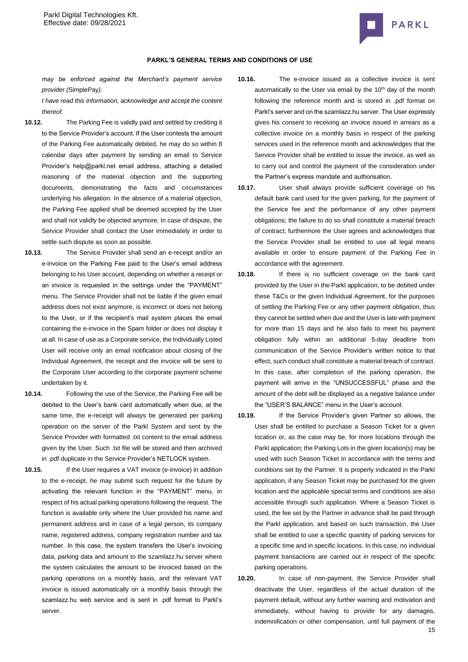

*may be enforced against the Merchant's payment service provider (*SimplePay*).*

*I have read this information, acknowledge and accept the content thereof.*

- **10.12.** The Parking Fee is validly paid and settled by crediting it to the Service Provider's account. If the User contests the amount of the Parking Fee automatically debited, he may do so within 8 calendar days after payment by sending an email to Service Provider's help@parkl.net email address, attaching a detailed reasoning of the material objection and the supporting documents, demonstrating the facts and circumstances underlying his allegation. In the absence of a material objection, the Parking Fee applied shall be deemed accepted by the User and shall not validly be objected anymore. In case of dispute, the Service Provider shall contact the User immediately in order to settle such dispute as soon as possible.
- **10.13.** The Service Provider shall send an e-receipt and/or an e-invoice on the Parking Fee paid to the User's email address belonging to his User account, depending on whether a receipt or an invoice is requested in the settings under the "PAYMENT" menu. The Service Provider shall not be liable if the given email address does not exist anymore, is incorrect or does not belong to the User, or if the recipient's mail system places the email containing the e-invoice in the Spam folder or does not display it at all. In case of use as a Corporate service, the Individually Listed User will receive only an email notification about closing of the Individual Agreement, the receipt and the invoice will be sent to the Corporate User according to the corporate payment scheme undertaken by it.
- **10.14.** Following the use of the Service, the Parking Fee will be debited to the User's bank card automatically when due, at the same time, the e-receipt will always be generated per parking operation on the server of the Parkl System and sent by the Service Provider with formatted .txt content to the email address given by the User. Such .txt file will be stored and then archived in .pdf duplicate in the Service Provider's NETLOCK system.
- **10.15.** If the User requires a VAT invoice (e-invoice) in addition to the e-receipt, he may submit such request for the future by activating the relevant function in the "PAYMENT" menu, in respect of his actual parking operations following the request. The function is available only where the User provided his name and permanent address and in case of a legal person, its company name, registered address, company registration number and tax number. In this case, the system transfers the User's invoicing data, parking data and amount to the szamlazz.hu server where the system calculates the amount to be invoiced based on the parking operations on a monthly basis, and the relevant VAT invoice is issued automatically on a monthly basis through the szamlazz.hu web service and is sent in .pdf format to Parkl's server.
- . **10.16.** The e-invoice issued as a collective invoice is sent automatically to the User via email by the 10<sup>th</sup> day of the month following the reference month and is stored in .pdf format on Parkl's server and on the szamlazz.hu server. The User expressly gives his consent to receiving an invoice issued in arrears as a collective invoice on a monthly basis in respect of the parking services used in the reference month and acknowledges that the Service Provider shall be entitled to issue the invoice, as well as to carry out and control the payment of the consideration under the Partner's express mandate and authorisation.
- **10.17.** User shall always provide sufficient coverage on his default bank card used for the given parking, for the payment of the Service fee and the performance of any other payment obligations; the failure to do so shall constitute a material breach of contract; furthermore the User agrees and acknowledges that the Service Provider shall be entitled to use all legal means available in order to ensure payment of the Parking Fee in accordance with the agreement.
- **10.18.** If there is no sufficient coverage on the bank card provided by the User in the Parkl application, to be debited under these T&Cs or the given Individual Agreement, for the purposes of settling the Parking Fee or any other payment obligation, thus they cannot be settled when due and the User is late with payment for more than 15 days and he also fails to meet his payment obligation fully within an additional 5-day deadline from communication of the Service Provider's written notice to that effect, such conduct shall constitute a material breach of contract. In this case, after completion of the parking operation, the payment will arrive in the "UNSUCCESSFUL" phase and the amount of the debt will be displayed as a negative balance under the "USER'S BALANCE" menu in the User's account.
- **10.19.** If the Service Provider's given Partner so allows, the User shall be entitled to purchase a Season Ticket for a given location or, as the case may be, for more locations through the Parkl application; the Parking Lots in the given location(s) may be used with such Season Ticket in accordance with the terms and conditions set by the Partner. It is properly indicated in the Parkl application, if any Season Ticket may be purchased for the given location and the applicable special terms and conditions are also accessible through such application. Where a Season Ticket is used, the fee set by the Partner in advance shall be paid through the Parkl application, and based on such transaction, the User shall be entitled to use a specific quantity of parking services for a specific time and in specific locations. In this case, no individual payment transactions are carried out in respect of the specific parking operations.
- 15 **10.20.** In case of non-payment, the Service Provider shall deactivate the User, regardless of the actual duration of the payment default, without any further warning and motivation and immediately, without having to provide for any damages, indemnification or other compensation, until full payment of the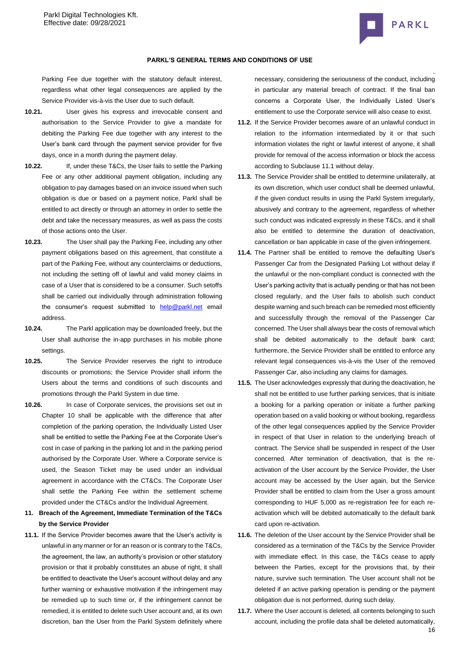

#### **PARKL'S GENERAL TERMS AND CONDITIONS OF USE**

Parking Fee due together with the statutory default interest, regardless what other legal consequences are applied by the Service Provider vis-à-vis the User due to such default.

- **10.21.** User gives his express and irrevocable consent and authorisation to the Service Provider to give a mandate for debiting the Parking Fee due together with any interest to the User's bank card through the payment service provider for five days, once in a month during the payment delay.
- **10.22.** If, under these T&Cs, the User fails to settle the Parking Fee or any other additional payment obligation, including any obligation to pay damages based on an invoice issued when such obligation is due or based on a payment notice, Parkl shall be entitled to act directly or through an attorney in order to settle the debt and take the necessary measures, as well as pass the costs of those actions onto the User.
- **10.23.** The User shall pay the Parking Fee, including any other payment obligations based on this agreement, that constitute a part of the Parking Fee, without any counterclaims or deductions, not including the setting off of lawful and valid money claims in case of a User that is considered to be a consumer. Such setoffs shall be carried out individually through administration following the consumer's request submitted to **[help@parkl.net](mailto:help@parkl.net)** email address.
- **10.24.** The Parkl application may be downloaded freely, but the User shall authorise the in-app purchases in his mobile phone settings.
- **10.25.** The Service Provider reserves the right to introduce discounts or promotions; the Service Provider shall inform the Users about the terms and conditions of such discounts and promotions through the Parkl System in due time.
- **10.26.** In case of Corporate services, the provisions set out in Chapter 10 shall be applicable with the difference that after completion of the parking operation, the Individually Listed User shall be entitled to settle the Parking Fee at the Corporate User's cost in case of parking in the parking lot and in the parking period authorised by the Corporate User. Where a Corporate service is used, the Season Ticket may be used under an individual agreement in accordance with the CT&Cs. The Corporate User shall settle the Parking Fee within the settlement scheme provided under the CT&Cs and/or the Individual Agreement.
- **11. Breach of the Agreement, Immediate Termination of the T&Cs by the Service Provider**
- **11.1.** If the Service Provider becomes aware that the User's activity is unlawful in any manner or for an reason or is contrary to the T&Cs, the agreement, the law, an authority's provision or other statutory provision or that it probably constitutes an abuse of right, it shall be entitled to deactivate the User's account without delay and any further warning or exhaustive motivation if the infringement may be remedied up to such time or, if the infringement cannot be remedied, it is entitled to delete such User account and, at its own discretion, ban the User from the Parkl System definitely where

necessary, considering the seriousness of the conduct, including in particular any material breach of contract. If the final ban concerns a Corporate User, the Individually Listed User's entitlement to use the Corporate service will also cease to exist.

- **11.2.** If the Service Provider becomes aware of an unlawful conduct in relation to the information intermediated by it or that such information violates the right or lawful interest of anyone, it shall provide for removal of the access information or block the access according to Subclause 11.1 without delay.
- **11.3.** The Service Provider shall be entitled to determine unilaterally, at its own discretion, which user conduct shall be deemed unlawful, if the given conduct results in using the Parkl System irregularly, abusively and contrary to the agreement, regardless of whether such conduct was indicated expressly in these T&Cs, and it shall also be entitled to determine the duration of deactivation, cancellation or ban applicable in case of the given infringement.
- **11.4.** The Partner shall be entitled to remove the defaulting User's Passenger Car from the Designated Parking Lot without delay if the unlawful or the non-compliant conduct is connected with the User's parking activity that is actually pending or that has not been closed regularly, and the User fails to abolish such conduct despite warning and such breach can be remedied most efficiently and successfully through the removal of the Passenger Car concerned. The User shall always bear the costs of removal which shall be debited automatically to the default bank card; furthermore, the Service Provider shall be entitled to enforce any relevant legal consequences vis-à-vis the User of the removed Passenger Car, also including any claims for damages.
- **11.5.** The User acknowledges expressly that during the deactivation, he shall not be entitled to use further parking services, that is initiate a booking for a parking operation or initiate a further parking operation based on a valid booking or without booking, regardless of the other legal consequences applied by the Service Provider in respect of that User in relation to the underlying breach of contract. The Service shall be suspended in respect of the User concerned. After termination of deactivation, that is the reactivation of the User account by the Service Provider, the User account may be accessed by the User again, but the Service Provider shall be entitled to claim from the User a gross amount corresponding to HUF 5,000 as re-registration fee for each reactivation which will be debited automatically to the default bank card upon re-activation.
- **11.6.** The deletion of the User account by the Service Provider shall be considered as a termination of the T&Cs by the Service Provider with immediate effect. In this case, the T&Cs cease to apply between the Parties, except for the provisions that, by their nature, survive such termination. The User account shall not be deleted if an active parking operation is pending or the payment obligation due is not performed, during such delay.
- 16 **11.7.** Where the User account is deleted, all contents belonging to such account, including the profile data shall be deleted automatically,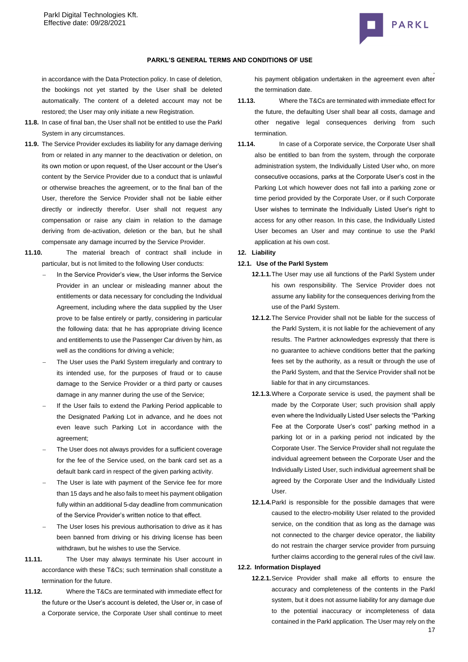

in accordance with the Data Protection policy. In case of deletion, the bookings not yet started by the User shall be deleted automatically. The content of a deleted account may not be restored; the User may only initiate a new Registration.

- **11.8.** In case of final ban, the User shall not be entitled to use the Parkl System in any circumstances.
- **11.9.** The Service Provider excludes its liability for any damage deriving from or related in any manner to the deactivation or deletion, on its own motion or upon request, of the User account or the User's content by the Service Provider due to a conduct that is unlawful or otherwise breaches the agreement, or to the final ban of the User, therefore the Service Provider shall not be liable either directly or indirectly therefor. User shall not request any compensation or raise any claim in relation to the damage deriving from de-activation, deletion or the ban, but he shall compensate any damage incurred by the Service Provider.
- **11.10.** The material breach of contract shall include in particular, but is not limited to the following User conducts:
	- In the Service Provider's view, the User informs the Service Provider in an unclear or misleading manner about the entitlements or data necessary for concluding the Individual Agreement, including where the data supplied by the User prove to be false entirely or partly, considering in particular the following data: that he has appropriate driving licence and entitlements to use the Passenger Car driven by him, as well as the conditions for driving a vehicle;
	- The User uses the Parkl System irregularly and contrary to its intended use, for the purposes of fraud or to cause damage to the Service Provider or a third party or causes damage in any manner during the use of the Service;
	- If the User fails to extend the Parking Period applicable to the Designated Parking Lot in advance, and he does not even leave such Parking Lot in accordance with the agreement;
	- The User does not always provides for a sufficient coverage for the fee of the Service used, on the bank card set as a default bank card in respect of the given parking activity.
	- The User is late with payment of the Service fee for more than 15 days and he also fails to meet his payment obligation fully within an additional 5-day deadline from communication of the Service Provider's written notice to that effect.
	- The User loses his previous authorisation to drive as it has been banned from driving or his driving license has been withdrawn, but he wishes to use the Service.
- **11.11.** The User may always terminate his User account in accordance with these T&Cs; such termination shall constitute a termination for the future.
- **11.12.** Where the T&Cs are terminated with immediate effect for the future or the User's account is deleted, the User or, in case of a Corporate service, the Corporate User shall continue to meet

. his payment obligation undertaken in the agreement even after the termination date.

- **11.13.** Where the T&Cs are terminated with immediate effect for the future, the defaulting User shall bear all costs, damage and other negative legal consequences deriving from such termination.
- **11.14.** In case of a Corporate service, the Corporate User shall also be entitled to ban from the system, through the corporate administration system, the Individually Listed User who, on more consecutive occasions, parks at the Corporate User's cost in the Parking Lot which however does not fall into a parking zone or time period provided by the Corporate User, or if such Corporate User wishes to terminate the Individually Listed User's right to access for any other reason. In this case, the Individually Listed User becomes an User and may continue to use the Parkl application at his own cost.

## **12. Liability**

# **12.1. Use of the Parkl System**

- **12.1.1.**The User may use all functions of the Parkl System under his own responsibility. The Service Provider does not assume any liability for the consequences deriving from the use of the Parkl System.
- **12.1.2.**The Service Provider shall not be liable for the success of the Parkl System, it is not liable for the achievement of any results. The Partner acknowledges expressly that there is no guarantee to achieve conditions better that the parking fees set by the authority, as a result or through the use of the Parkl System, and that the Service Provider shall not be liable for that in any circumstances.
- **12.1.3.**Where a Corporate service is used, the payment shall be made by the Corporate User; such provision shall apply even where the Individually Listed User selects the "Parking Fee at the Corporate User's cost" parking method in a parking lot or in a parking period not indicated by the Corporate User. The Service Provider shall not regulate the individual agreement between the Corporate User and the Individually Listed User, such individual agreement shall be agreed by the Corporate User and the Individually Listed User.
- **12.1.4.**Parkl is responsible for the possible damages that were caused to the electro-mobility User related to the provided service, on the condition that as long as the damage was not connected to the charger device operator, the liability do not restrain the charger service provider from pursuing further claims according to the general rules of the civil law.

# **12.2. Information Displayed**

**12.2.1.**Service Provider shall make all efforts to ensure the accuracy and completeness of the contents in the Parkl system, but it does not assume liability for any damage due to the potential inaccuracy or incompleteness of data contained in the Parkl application. The User may rely on the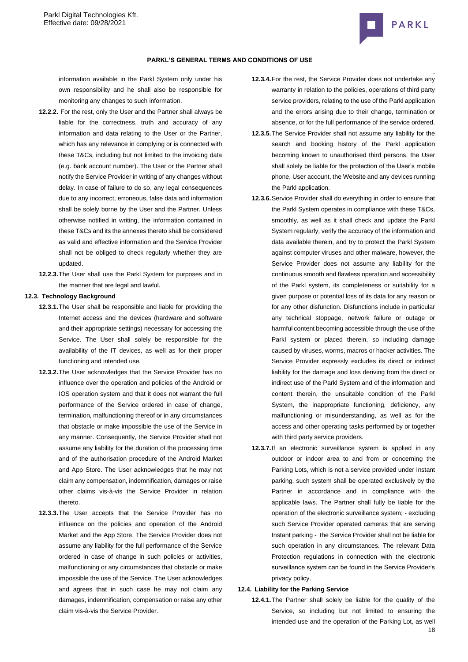

# **PARKL'S GENERAL TERMS AND CONDITIONS OF USE**

information available in the Parkl System only under his own responsibility and he shall also be responsible for monitoring any changes to such information.

- **12.2.2.** For the rest, only the User and the Partner shall always be liable for the correctness, truth and accuracy of any information and data relating to the User or the Partner, which has any relevance in complying or is connected with these T&Cs, including but not limited to the invoicing data (e.g. bank account number). The User or the Partner shall notify the Service Provider in writing of any changes without delay. In case of failure to do so, any legal consequences due to any incorrect, erroneous, false data and information shall be solely borne by the User and the Partner. Unless otherwise notified in writing, the information contained in these T&Cs and its the annexes thereto shall be considered as valid and effective information and the Service Provider shall not be obliged to check regularly whether they are updated.
- **12.2.3.**The User shall use the Parkl System for purposes and in the manner that are legal and lawful.

## **12.3. Technology Background**

- **12.3.1.**The User shall be responsible and liable for providing the Internet access and the devices (hardware and software and their appropriate settings) necessary for accessing the Service. The User shall solely be responsible for the availability of the IT devices, as well as for their proper functioning and intended use.
- **12.3.2.**The User acknowledges that the Service Provider has no influence over the operation and policies of the Android or IOS operation system and that it does not warrant the full performance of the Service ordered in case of change, termination, malfunctioning thereof or in any circumstances that obstacle or make impossible the use of the Service in any manner. Consequently, the Service Provider shall not assume any liability for the duration of the processing time and of the authorisation procedure of the Android Market and App Store. The User acknowledges that he may not claim any compensation, indemnification, damages or raise other claims vis-à-vis the Service Provider in relation thereto.
- **12.3.3.**The User accepts that the Service Provider has no influence on the policies and operation of the Android Market and the App Store. The Service Provider does not assume any liability for the full performance of the Service ordered in case of change in such policies or activities, malfunctioning or any circumstances that obstacle or make impossible the use of the Service. The User acknowledges and agrees that in such case he may not claim any damages, indemnification, compensation or raise any other claim vis-à-vis the Service Provider.
- **12.3.4.**For the rest, the Service Provider does not undertake any warranty in relation to the policies, operations of third party service providers, relating to the use of the Parkl application and the errors arising due to their change, termination or absence, or for the full performance of the service ordered.
- **12.3.5.**The Service Provider shall not assume any liability for the search and booking history of the Parkl application becoming known to unauthorised third persons, the User shall solely be liable for the protection of the User's mobile phone, User account, the Website and any devices running the Parkl application.
- **12.3.6.**Service Provider shall do everything in order to ensure that the Parkl System operates in compliance with these T&Cs, smoothly, as well as it shall check and update the Parkl System regularly, verify the accuracy of the information and data available therein, and try to protect the Parkl System against computer viruses and other malware, however, the Service Provider does not assume any liability for the continuous smooth and flawless operation and accessibility of the Parkl system, its completeness or suitability for a given purpose or potential loss of its data for any reason or for any other disfunction. Disfunctions include in particular any technical stoppage, network failure or outage or harmful content becoming accessible through the use of the Parkl system or placed therein, so including damage caused by viruses, worms, macros or hacker activities. The Service Provider expressly excludes its direct or indirect liability for the damage and loss deriving from the direct or indirect use of the Parkl System and of the information and content therein, the unsuitable condition of the Parkl System, the inappropriate functioning, deficiency, any malfunctioning or misunderstanding, as well as for the access and other operating tasks performed by or together with third party service providers.
- **12.3.7.**If an electronic surveillance system is applied in any outdoor or indoor area to and from or concerning the Parking Lots, which is not a service provided under Instant parking, such system shall be operated exclusively by the Partner in accordance and in compliance with the applicable laws. The Partner shall fully be liable for the operation of the electronic surveillance system; - excluding such Service Provider operated cameras that are serving Instant parking - the Service Provider shall not be liable for such operation in any circumstances. The relevant Data Protection regulations in connection with the electronic surveillance system can be found in the Service Provider's privacy policy.

# **12.4. Liability for the Parking Service**

18 **12.4.1.**The Partner shall solely be liable for the quality of the Service, so including but not limited to ensuring the intended use and the operation of the Parking Lot, as well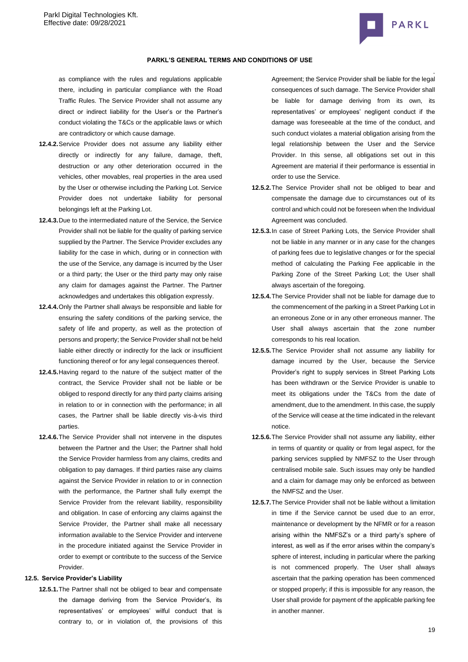

as compliance with the rules and regulations applicable there, including in particular compliance with the Road Traffic Rules. The Service Provider shall not assume any direct or indirect liability for the User's or the Partner's conduct violating the T&Cs or the applicable laws or which are contradictory or which cause damage.

- **12.4.2.**Service Provider does not assume any liability either directly or indirectly for any failure, damage, theft, destruction or any other deterioration occurred in the vehicles, other movables, real properties in the area used by the User or otherwise including the Parking Lot. Service Provider does not undertake liability for personal belongings left at the Parking Lot.
- **12.4.3.**Due to the intermediated nature of the Service, the Service Provider shall not be liable for the quality of parking service supplied by the Partner. The Service Provider excludes any liability for the case in which, during or in connection with the use of the Service, any damage is incurred by the User or a third party; the User or the third party may only raise any claim for damages against the Partner. The Partner acknowledges and undertakes this obligation expressly.
- **12.4.4.**Only the Partner shall always be responsible and liable for ensuring the safety conditions of the parking service, the safety of life and property, as well as the protection of persons and property; the Service Provider shall not be held liable either directly or indirectly for the lack or insufficient functioning thereof or for any legal consequences thereof.
- **12.4.5.**Having regard to the nature of the subject matter of the contract, the Service Provider shall not be liable or be obliged to respond directly for any third party claims arising in relation to or in connection with the performance; in all cases, the Partner shall be liable directly vis-à-vis third parties.
- **12.4.6.**The Service Provider shall not intervene in the disputes between the Partner and the User; the Partner shall hold the Service Provider harmless from any claims, credits and obligation to pay damages. If third parties raise any claims against the Service Provider in relation to or in connection with the performance, the Partner shall fully exempt the Service Provider from the relevant liability, responsibility and obligation. In case of enforcing any claims against the Service Provider, the Partner shall make all necessary information available to the Service Provider and intervene in the procedure initiated against the Service Provider in order to exempt or contribute to the success of the Service Provider.

#### **12.5. Service Provider's Liability**

**12.5.1.**The Partner shall not be obliged to bear and compensate the damage deriving from the Service Provider's, its representatives' or employees' wilful conduct that is contrary to, or in violation of, the provisions of this

. Agreement; the Service Provider shall be liable for the legal consequences of such damage. The Service Provider shall be liable for damage deriving from its own, its representatives' or employees' negligent conduct if the damage was foreseeable at the time of the conduct, and such conduct violates a material obligation arising from the legal relationship between the User and the Service Provider. In this sense, all obligations set out in this Agreement are material if their performance is essential in order to use the Service.

- **12.5.2.**The Service Provider shall not be obliged to bear and compensate the damage due to circumstances out of its control and which could not be foreseen when the Individual Agreement was concluded.
- **12.5.3.**In case of Street Parking Lots, the Service Provider shall not be liable in any manner or in any case for the changes of parking fees due to legislative changes or for the special method of calculating the Parking Fee applicable in the Parking Zone of the Street Parking Lot; the User shall always ascertain of the foregoing.
- **12.5.4.**The Service Provider shall not be liable for damage due to the commencement of the parking in a Street Parking Lot in an erroneous Zone or in any other erroneous manner. The User shall always ascertain that the zone number corresponds to his real location.
- **12.5.5.**The Service Provider shall not assume any liability for damage incurred by the User, because the Service Provider's right to supply services in Street Parking Lots has been withdrawn or the Service Provider is unable to meet its obligations under the T&Cs from the date of amendment, due to the amendment. In this case, the supply of the Service will cease at the time indicated in the relevant notice.
- **12.5.6.**The Service Provider shall not assume any liability, either in terms of quantity or quality or from legal aspect, for the parking services supplied by NMFSZ to the User through centralised mobile sale. Such issues may only be handled and a claim for damage may only be enforced as between the NMFSZ and the User.
- **12.5.7.**The Service Provider shall not be liable without a limitation in time if the Service cannot be used due to an error, maintenance or development by the NFMR or for a reason arising within the NMFSZ's or a third party's sphere of interest, as well as if the error arises within the company's sphere of interest, including in particular where the parking is not commenced properly. The User shall always ascertain that the parking operation has been commenced or stopped properly; if this is impossible for any reason, the User shall provide for payment of the applicable parking fee in another manner.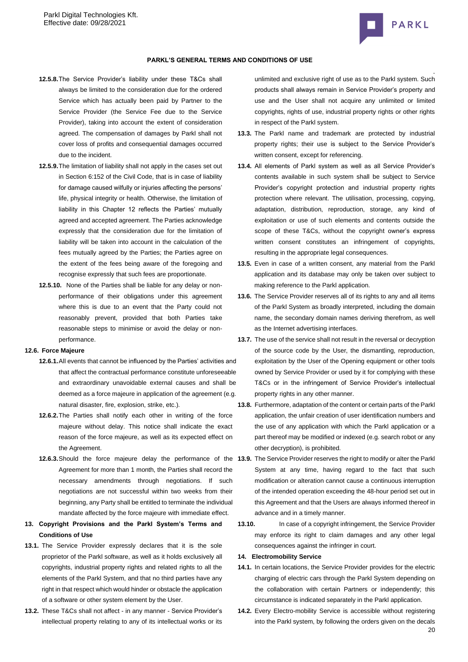

#### **PARKL'S GENERAL TERMS AND CONDITIONS OF USE**

- **12.5.8.**The Service Provider's liability under these T&Cs shall always be limited to the consideration due for the ordered Service which has actually been paid by Partner to the Service Provider (the Service Fee due to the Service Provider), taking into account the extent of consideration agreed. The compensation of damages by Parkl shall not cover loss of profits and consequential damages occurred due to the incident.
- **12.5.9.**The limitation of liability shall not apply in the cases set out in Section 6:152 of the Civil Code, that is in case of liability for damage caused wilfully or injuries affecting the persons' life, physical integrity or health. Otherwise, the limitation of liability in this Chapter 12 reflects the Parties' mutually agreed and accepted agreement. The Parties acknowledge expressly that the consideration due for the limitation of liability will be taken into account in the calculation of the fees mutually agreed by the Parties; the Parties agree on the extent of the fees being aware of the foregoing and recognise expressly that such fees are proportionate.
- **12.5.10.** None of the Parties shall be liable for any delay or nonperformance of their obligations under this agreement where this is due to an event that the Party could not reasonably prevent, provided that both Parties take reasonable steps to minimise or avoid the delay or nonperformance.

#### **12.6. Force Majeure**

- **12.6.1.**All events that cannot be influenced by the Parties' activities and that affect the contractual performance constitute unforeseeable and extraordinary unavoidable external causes and shall be deemed as a force majeure in application of the agreement (e.g. natural disaster, fire, explosion, strike, etc.).
- **12.6.2.**The Parties shall notify each other in writing of the force majeure without delay. This notice shall indicate the exact reason of the force majeure, as well as its expected effect on the Agreement.
- Agreement for more than 1 month, the Parties shall record the necessary amendments through negotiations. If such negotiations are not successful within two weeks from their beginning, any Party shall be entitled to terminate the individual mandate affected by the force majeure with immediate effect.
- **13. Copyright Provisions and the Parkl System's Terms and Conditions of Use**
- **13.1.** The Service Provider expressly declares that it is the sole proprietor of the Parkl software, as well as it holds exclusively all copyrights, industrial property rights and related rights to all the elements of the Parkl System, and that no third parties have any right in that respect which would hinder or obstacle the application of a software or other system element by the User.
- **13.2.** These T&Cs shall not affect in any manner Service Provider's intellectual property relating to any of its intellectual works or its

unlimited and exclusive right of use as to the Parkl system. Such products shall always remain in Service Provider's property and use and the User shall not acquire any unlimited or limited copyrights, rights of use, industrial property rights or other rights in respect of the Parkl system.

- **13.3.** The Parkl name and trademark are protected by industrial property rights; their use is subject to the Service Provider's written consent, except for referencing.
- **13.4.** All elements of Parkl system as well as all Service Provider's contents available in such system shall be subject to Service Provider's copyright protection and industrial property rights protection where relevant. The utilisation, processing, copying, adaptation, distribution, reproduction, storage, any kind of exploitation or use of such elements and contents outside the scope of these T&Cs, without the copyright owner's express written consent constitutes an infringement of copyrights, resulting in the appropriate legal consequences.
- **13.5.** Even in case of a written consent, any material from the Parkl application and its database may only be taken over subject to making reference to the Parkl application.
- **13.6.** The Service Provider reserves all of its rights to any and all items of the Parkl System as broadly interpreted, including the domain name, the secondary domain names deriving therefrom, as well as the Internet advertising interfaces.
- **13.7.** The use of the service shall not result in the reversal or decryption of the source code by the User, the dismantling, reproduction, exploitation by the User of the Opening equipment or other tools owned by Service Provider or used by it for complying with these T&Cs or in the infringement of Service Provider's intellectual property rights in any other manner.
- **13.8.** Furthermore, adaptation of the content or certain parts of the Parkl application, the unfair creation of user identification numbers and the use of any application with which the Parkl application or a part thereof may be modified or indexed (e.g. search robot or any other decryption), is prohibited.
- **12.6.3.**Should the force majeure delay the performance of the **13.9.** The Service Provider reserves the right to modify or alter the Parkl System at any time, having regard to the fact that such modification or alteration cannot cause a continuous interruption of the intended operation exceeding the 48-hour period set out in this Agreement and that the Users are always informed thereof in advance and in a timely manner.
	- **13.10.** In case of a copyright infringement, the Service Provider may enforce its right to claim damages and any other legal consequences against the infringer in court.

## **14. Electromobility Service**

- **14.1.** In certain locations, the Service Provider provides for the electric charging of electric cars through the Parkl System depending on the collaboration with certain Partners or independently; this circumstance is indicated separately in the Parkl application.
- $20$ **14.2.** Every Electro-mobility Service is accessible without registering into the Parkl system, by following the orders given on the decals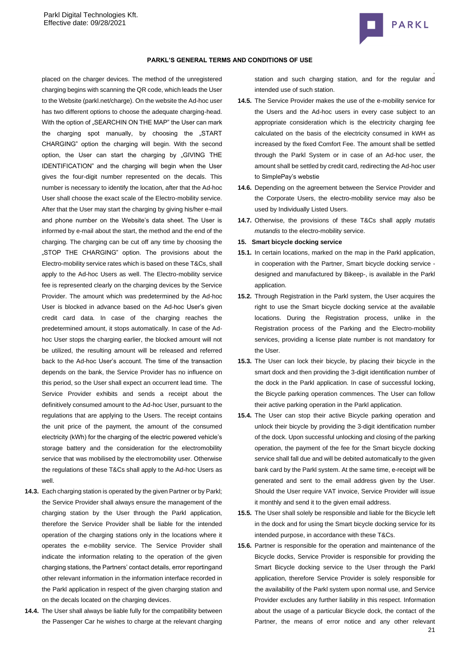

### **PARKL'S GENERAL TERMS AND CONDITIONS OF USE**

placed on the charger devices. The method of the unregistered charging begins with scanning the QR code, which leads the User to the Website (parkl.net/charge). On the website the Ad-hoc user has two different options to choose the adequate charging-head. With the option of "SEARCHIN ON THE MAP" the User can mark the charging spot manually, by choosing the "START CHARGING" option the charging will begin. With the second option, the User can start the charging by "GIVING THE IDENTIFICATION" and the charging will begin when the User gives the four-digit number represented on the decals. This number is necessary to identify the location, after that the Ad-hoc User shall choose the exact scale of the Electro-mobility service. After that the User may start the charging by giving his/her e-mail and phone number on the Website's data sheet. The User is informed by e-mail about the start, the method and the end of the charging. The charging can be cut off any time by choosing the "STOP THE CHARGING" option. The provisions about the Electro-mobility service rates which is based on these T&Cs, shall apply to the Ad-hoc Users as well. The Electro-mobility service fee is represented clearly on the charging devices by the Service Provider. The amount which was predetermined by the Ad-hoc User is blocked in advance based on the Ad-hoc User's given credit card data. In case of the charging reaches the predetermined amount, it stops automatically. In case of the Adhoc User stops the charging earlier, the blocked amount will not be utilized, the resulting amount will be released and referred back to the Ad-hoc User's account. The time of the transaction depends on the bank, the Service Provider has no influence on this period, so the User shall expect an occurrent lead time. The Service Provider exhibits and sends a receipt about the definitively consumed amount to the Ad-hoc User, pursuant to the regulations that are applying to the Users. The receipt contains the unit price of the payment, the amount of the consumed electricity (kWh) for the charging of the electric powered vehicle's storage battery and the consideration for the electromobility service that was mobilised by the electromobility user. Otherwise the regulations of these T&Cs shall apply to the Ad-hoc Users as well.

- **14.3.** Each charging station is operated by the given Partner or by Parkl; the Service Provider shall always ensure the management of the charging station by the User through the Parkl application, therefore the Service Provider shall be liable for the intended operation of the charging stations only in the locations where it operates the e-mobility service. The Service Provider shall indicate the information relating to the operation of the given charging stations, the Partners' contact details, error reportingand other relevant information in the information interface recorded in the Parkl application in respect of the given charging station and on the decals located on the charging devices.
- **14.4.** The User shall always be liable fully for the compatibility between the Passenger Car he wishes to charge at the relevant charging

station and such charging station, and for the regular and intended use of such station.

- **14.5.** The Service Provider makes the use of the e-mobility service for the Users and the Ad-hoc users in every case subject to an appropriate consideration which is the electricity charging fee calculated on the basis of the electricity consumed in kWH as increased by the fixed Comfort Fee. The amount shall be settled through the Parkl System or in case of an Ad-hoc user, the amount shall be settled by credit card, redirecting the Ad-hoc user to SimplePay's webstie
- **14.6.** Depending on the agreement between the Service Provider and the Corporate Users, the electro-mobility service may also be used by Individually Listed Users.
- **14.7.** Otherwise, the provisions of these T&Cs shall apply *mutatis mutandis* to the electro-mobility service.

#### **15. Smart bicycle docking service**

- **15.1.** In certain locations, marked on the map in the Parkl application, in cooperation with the Partner, Smart bicycle docking service designed and manufactured by Bikeep-, is available in the Parkl application.
- **15.2.** Through Registration in the Parkl system, the User acquires the right to use the Smart bicycle docking service at the available locations. During the Registration process, unlike in the Registration process of the Parking and the Electro-mobility services, providing a license plate number is not mandatory for the User.
- **15.3.** The User can lock their bicycle, by placing their bicycle in the smart dock and then providing the 3-digit identification number of the dock in the Parkl application. In case of successful locking, the Bicycle parking operation commences. The User can follow their active parking operation in the Parkl application.
- **15.4.** The User can stop their active Bicycle parking operation and unlock their bicycle by providing the 3-digit identification number of the dock. Upon successful unlocking and closing of the parking operation, the payment of the fee for the Smart bicycle docking service shall fall due and will be debited automatically to the given bank card by the Parkl system. At the same time, e-receipt will be generated and sent to the email address given by the User. Should the User require VAT invoice, Service Provider will issue it monthly and send it to the given email address.
- **15.5.** The User shall solely be responsible and liable for the Bicycle left in the dock and for using the Smart bicycle docking service for its intended purpose, in accordance with these T&Cs.
- 21 **15.6.** Partner is responsible for the operation and maintenance of the Bicycle docks, Service Provider is responsible for providing the Smart Bicycle docking service to the User through the Parkl application, therefore Service Provider is solely responsible for the availability of the Parkl system upon normal use, and Service Provider excludes any further liability in this respect. Information about the usage of a particular Bicycle dock, the contact of the Partner, the means of error notice and any other relevant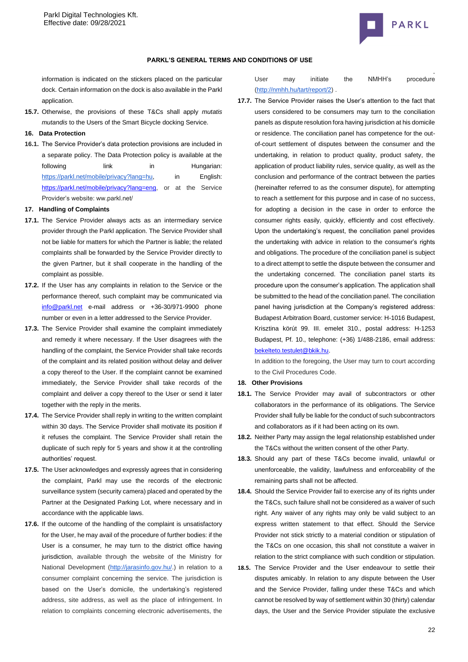

### **PARKL'S GENERAL TERMS AND CONDITIONS OF USE**

information is indicated on the stickers placed on the particular dock. Certain information on the dock is also available in the Parkl application.

**15.7.** Otherwise, the provisions of these T&Cs shall apply *mutatis mutandis* to the Users of the Smart Bicycle docking Service.

## **16. Data Protection**

**16.1.** The Service Provider's data protection provisions are included in a separate policy. The Data Protection policy is available at the following link in Hungarian: [https://parkl.net/mobile/privacy?lang=hu,](https://test.parkl.net/mobile/privacy?lang=eng) in English: [https://parkl.net/mobile/privacy?lang=eng,](https://parkl.net/mobile/privacy?lang=eng) or at the Service Provider's website: ww.parkl.net/

#### **17. Handling of Complaints**

- **17.1.** The Service Provider always acts as an intermediary service provider through the Parkl application. The Service Provider shall not be liable for matters for which the Partner is liable; the related complaints shall be forwarded by the Service Provider directly to the given Partner, but it shall cooperate in the handling of the complaint as possible.
- **17.2.** If the User has any complaints in relation to the Service or the performance thereof, such complaint may be communicated via [info@parkl.net](mailto:info@parkl.net) e-mail address or +36-30/971-9900 phone number or even in a letter addressed to the Service Provider.
- **17.3.** The Service Provider shall examine the complaint immediately and remedy it where necessary. If the User disagrees with the handling of the complaint, the Service Provider shall take records of the complaint and its related position without delay and deliver a copy thereof to the User. If the complaint cannot be examined immediately, the Service Provider shall take records of the complaint and deliver a copy thereof to the User or send it later together with the reply in the merits.
- **17.4.** The Service Provider shall reply in writing to the written complaint within 30 days. The Service Provider shall motivate its position if it refuses the complaint. The Service Provider shall retain the duplicate of such reply for 5 years and show it at the controlling authorities' request.
- **17.5.** The User acknowledges and expressly agrees that in considering the complaint, Parkl may use the records of the electronic surveillance system (security camera) placed and operated by the Partner at the Designated Parking Lot, where necessary and in accordance with the applicable laws.
- **17.6.** If the outcome of the handling of the complaint is unsatisfactory for the User, he may avail of the procedure of further bodies: if the User is a consumer, he may turn to the district office having jurisdiction, available through the website of the Ministry for National Development [\(http://jarasinfo.gov.hu/.](http://jarasinfo.gov.hu/)) in relation to a consumer complaint concerning the service. The jurisdiction is based on the User's domicile, the undertaking's registered address, site address, as well as the place of infringement. In relation to complaints concerning electronic advertisements, the

User may initiate the NMHH's procedure [\(http://nmhh.hu/tart/report/2\)](http://nmhh.hu/tart/report/2) .

**17.7.** The Service Provider raises the User's attention to the fact that users considered to be consumers may turn to the conciliation panels as dispute resolution fora having jurisdiction at his domicile or residence. The conciliation panel has competence for the outof-court settlement of disputes between the consumer and the undertaking, in relation to product quality, product safety, the application of product liability rules, service quality, as well as the conclusion and performance of the contract between the parties (hereinafter referred to as the consumer dispute), for attempting to reach a settlement for this purpose and in case of no success, for adopting a decision in the case in order to enforce the consumer rights easily, quickly, efficiently and cost effectively. Upon the undertaking's request, the conciliation panel provides the undertaking with advice in relation to the consumer's rights and obligations. The procedure of the conciliation panel is subject to a direct attempt to settle the dispute between the consumer and the undertaking concerned. The conciliation panel starts its procedure upon the consumer's application. The application shall be submitted to the head of the conciliation panel. The conciliation panel having jurisdiction at the Company's registered address: Budapest Arbitration Board, customer service: H-1016 Budapest, Krisztina körút 99. III. emelet 310., postal address: H-1253 Budapest, Pf. 10., telephone: (+36) 1/488-2186, email address: [bekelteto.testulet@bkik.hu.](mailto:bekelteto.testulet@bkik.hu)

In addition to the foregoing, the User may turn to court according to the Civil Procedures Code.

# **18. Other Provisions**

- **18.1.** The Service Provider may avail of subcontractors or other collaborators in the performance of its obligations. The Service Provider shall fully be liable for the conduct of such subcontractors and collaborators as if it had been acting on its own.
- **18.2.** Neither Party may assign the legal relationship established under the T&Cs without the written consent of the other Party.
- **18.3.** Should any part of these T&Cs become invalid, unlawful or unenforceable, the validity, lawfulness and enforceability of the remaining parts shall not be affected.
- **18.4.** Should the Service Provider fail to exercise any of its rights under the T&Cs, such failure shall not be considered as a waiver of such right. Any waiver of any rights may only be valid subject to an express written statement to that effect. Should the Service Provider not stick strictly to a material condition or stipulation of the T&Cs on one occasion, this shall not constitute a waiver in relation to the strict compliance with such condition or stipulation.
- **18.5.** The Service Provider and the User endeavour to settle their disputes amicably. In relation to any dispute between the User and the Service Provider, falling under these T&Cs and which cannot be resolved by way of settlement within 30 (thirty) calendar days, the User and the Service Provider stipulate the exclusive